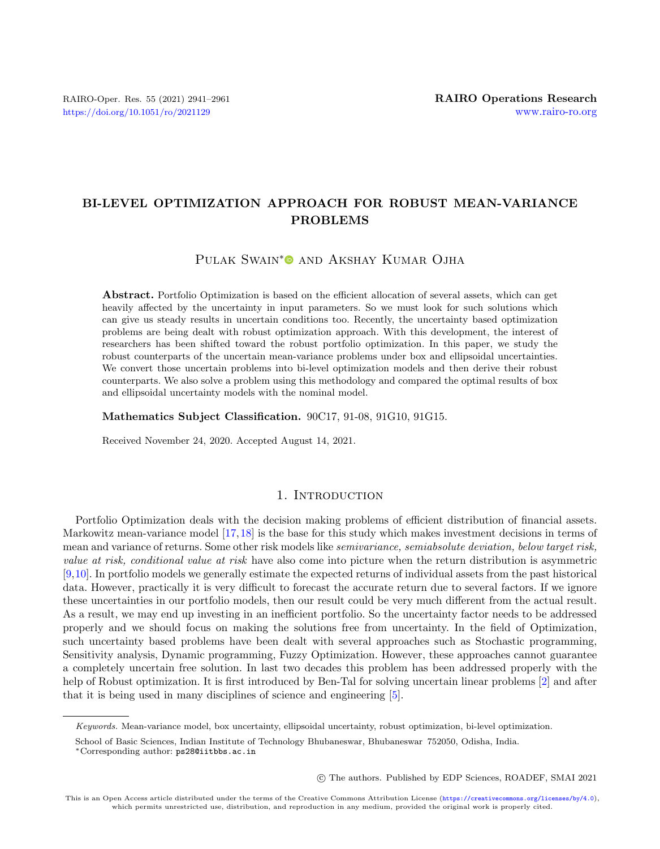# BI-LEVEL OPTIMIZATION APPROACH FOR ROBUST MEAN-VARIANCE PROBLEMS

Pulak Swain[\\*](https://orcid.org/0000-0001-9700-6780)<sup>O</sup> and Akshay Kumar Ojha

Abstract. Portfolio Optimization is based on the efficient allocation of several assets, which can get heavily affected by the uncertainty in input parameters. So we must look for such solutions which can give us steady results in uncertain conditions too. Recently, the uncertainty based optimization problems are being dealt with robust optimization approach. With this development, the interest of researchers has been shifted toward the robust portfolio optimization. In this paper, we study the robust counterparts of the uncertain mean-variance problems under box and ellipsoidal uncertainties. We convert those uncertain problems into bi-level optimization models and then derive their robust counterparts. We also solve a problem using this methodology and compared the optimal results of box and ellipsoidal uncertainty models with the nominal model.

Mathematics Subject Classification. 90C17, 91-08, 91G10, 91G15.

Received November 24, 2020. Accepted August 14, 2021.

## 1. INTRODUCTION

Portfolio Optimization deals with the decision making problems of efficient distribution of financial assets. Markowitz mean-variance model [\[17,](#page-19-0)[18\]](#page-19-1) is the base for this study which makes investment decisions in terms of mean and variance of returns. Some other risk models like semivariance, semiabsolute deviation, below target risk, value at risk, conditional value at risk have also come into picture when the return distribution is asymmetric [\[9,](#page-19-2)[10\]](#page-19-3). In portfolio models we generally estimate the expected returns of individual assets from the past historical data. However, practically it is very difficult to forecast the accurate return due to several factors. If we ignore these uncertainties in our portfolio models, then our result could be very much different from the actual result. As a result, we may end up investing in an inefficient portfolio. So the uncertainty factor needs to be addressed properly and we should focus on making the solutions free from uncertainty. In the field of Optimization, such uncertainty based problems have been dealt with several approaches such as Stochastic programming, Sensitivity analysis, Dynamic programming, Fuzzy Optimization. However, these approaches cannot guarantee a completely uncertain free solution. In last two decades this problem has been addressed properly with the help of Robust optimization. It is first introduced by Ben-Tal for solving uncertain linear problems [\[2\]](#page-19-4) and after that it is being used in many disciplines of science and engineering [\[5\]](#page-19-5).

○c The authors. Published by EDP Sciences, ROADEF, SMAI 2021

Keywords. Mean-variance model, box uncertainty, ellipsoidal uncertainty, robust optimization, bi-level optimization.

School of Basic Sciences, Indian Institute of Technology Bhubaneswar, Bhubaneswar 752050, Odisha, India.

<sup>\*</sup>Corresponding author: [ps28@iitbbs.ac.in](mailto:ps28@iitbbs.ac.in)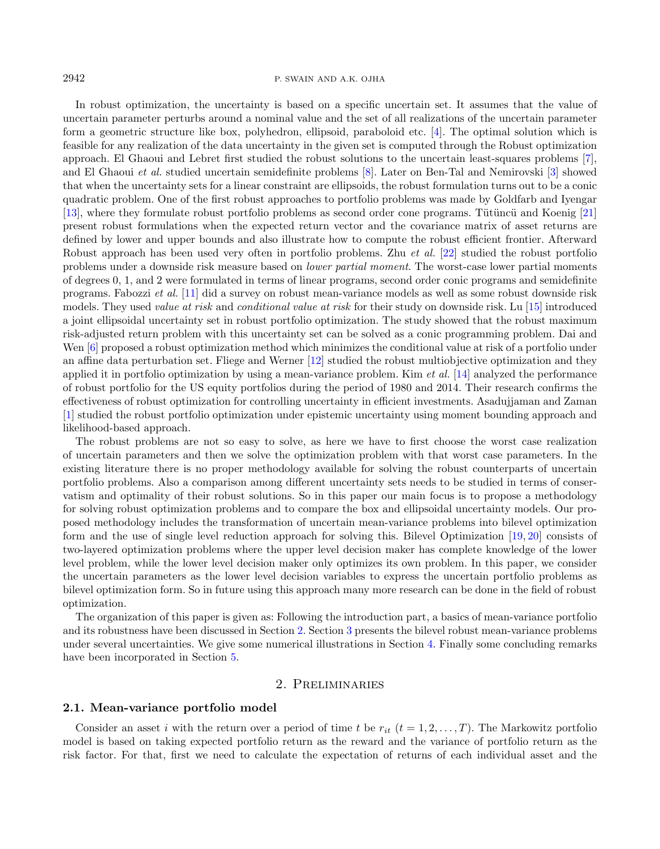#### 2942 P. SWAIN AND A.K. OJHA

In robust optimization, the uncertainty is based on a specific uncertain set. It assumes that the value of uncertain parameter perturbs around a nominal value and the set of all realizations of the uncertain parameter form a geometric structure like box, polyhedron, ellipsoid, paraboloid etc. [\[4\]](#page-19-6). The optimal solution which is feasible for any realization of the data uncertainty in the given set is computed through the Robust optimization approach. El Ghaoui and Lebret first studied the robust solutions to the uncertain least-squares problems [\[7\]](#page-19-7), and El Ghaoui et al. studied uncertain semidefinite problems [\[8\]](#page-19-8). Later on Ben-Tal and Nemirovski [\[3\]](#page-19-9) showed that when the uncertainty sets for a linear constraint are ellipsoids, the robust formulation turns out to be a conic quadratic problem. One of the first robust approaches to portfolio problems was made by Goldfarb and Iyengar [\[13\]](#page-19-10), where they formulate robust portfolio problems as second order cone programs. Tütüncü and Koenig [\[21\]](#page-20-0) present robust formulations when the expected return vector and the covariance matrix of asset returns are defined by lower and upper bounds and also illustrate how to compute the robust efficient frontier. Afterward Robust approach has been used very often in portfolio problems. Zhu et al. [\[22\]](#page-20-1) studied the robust portfolio problems under a downside risk measure based on lower partial moment. The worst-case lower partial moments of degrees 0, 1, and 2 were formulated in terms of linear programs, second order conic programs and semidefinite programs. Fabozzi et al. [\[11\]](#page-19-11) did a survey on robust mean-variance models as well as some robust downside risk models. They used *value at risk* and *conditional value at risk* for their study on downside risk. Lu [\[15\]](#page-19-12) introduced a joint ellipsoidal uncertainty set in robust portfolio optimization. The study showed that the robust maximum risk-adjusted return problem with this uncertainty set can be solved as a conic programming problem. Dai and Wen [\[6\]](#page-19-13) proposed a robust optimization method which minimizes the conditional value at risk of a portfolio under an affine data perturbation set. Fliege and Werner [\[12\]](#page-19-14) studied the robust multiobjective optimization and they applied it in portfolio optimization by using a mean-variance problem. Kim *et al.* [\[14\]](#page-19-15) analyzed the performance of robust portfolio for the US equity portfolios during the period of 1980 and 2014. Their research confirms the effectiveness of robust optimization for controlling uncertainty in efficient investments. Asadujjaman and Zaman [\[1\]](#page-19-16) studied the robust portfolio optimization under epistemic uncertainty using moment bounding approach and likelihood-based approach.

The robust problems are not so easy to solve, as here we have to first choose the worst case realization of uncertain parameters and then we solve the optimization problem with that worst case parameters. In the existing literature there is no proper methodology available for solving the robust counterparts of uncertain portfolio problems. Also a comparison among different uncertainty sets needs to be studied in terms of conservatism and optimality of their robust solutions. So in this paper our main focus is to propose a methodology for solving robust optimization problems and to compare the box and ellipsoidal uncertainty models. Our proposed methodology includes the transformation of uncertain mean-variance problems into bilevel optimization form and the use of single level reduction approach for solving this. Bilevel Optimization [\[19,](#page-19-17) [20\]](#page-20-2) consists of two-layered optimization problems where the upper level decision maker has complete knowledge of the lower level problem, while the lower level decision maker only optimizes its own problem. In this paper, we consider the uncertain parameters as the lower level decision variables to express the uncertain portfolio problems as bilevel optimization form. So in future using this approach many more research can be done in the field of robust optimization.

The organization of this paper is given as: Following the introduction part, a basics of mean-variance portfolio and its robustness have been discussed in Section [2.](#page-1-0) Section [3](#page-4-0) presents the bilevel robust mean-variance problems under several uncertainties. We give some numerical illustrations in Section [4.](#page-13-0) Finally some concluding remarks have been incorporated in Section [5.](#page-19-18)

### 2. Preliminaries

#### <span id="page-1-0"></span>2.1. Mean-variance portfolio model

Consider an asset *i* with the return over a period of time *t* be  $r_{it}$  ( $t = 1, 2, ..., T$ ). The Markowitz portfolio model is based on taking expected portfolio return as the reward and the variance of portfolio return as the risk factor. For that, first we need to calculate the expectation of returns of each individual asset and the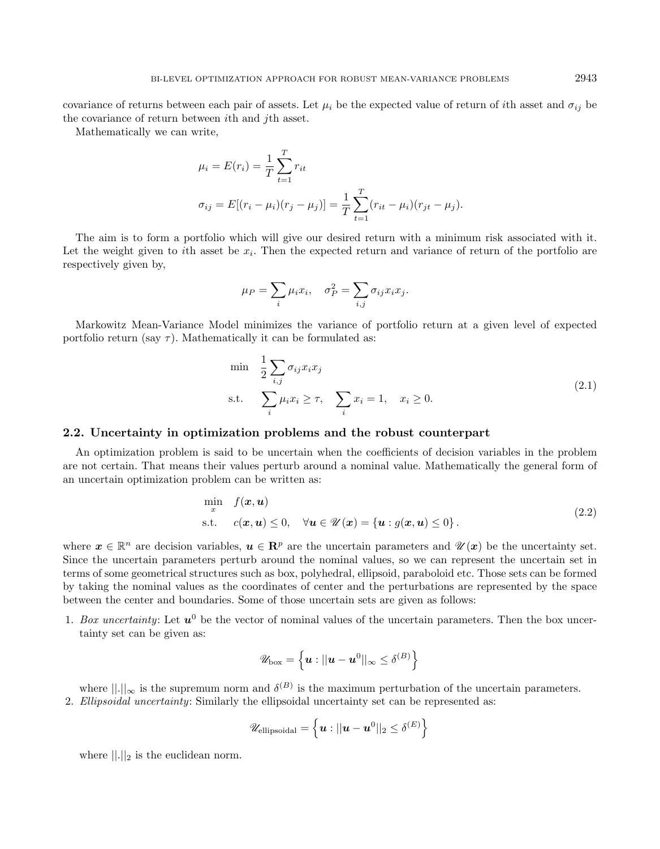covariance of returns between each pair of assets. Let  $\mu_i$  be the expected value of return of *i*th asset and  $\sigma_{ij}$  be the covariance of return between *i*th and *j*th asset.

Mathematically we can write,

$$
\mu_i = E(r_i) = \frac{1}{T} \sum_{t=1}^T r_{it}
$$
  

$$
\sigma_{ij} = E[(r_i - \mu_i)(r_j - \mu_j)] = \frac{1}{T} \sum_{t=1}^T (r_{it} - \mu_i)(r_{jt} - \mu_j).
$$

The aim is to form a portfolio which will give our desired return with a minimum risk associated with it. Let the weight given to *i*th asset be  $x_i$ . Then the expected return and variance of return of the portfolio are respectively given by,

<span id="page-2-0"></span>
$$
\mu_P = \sum_i \mu_i x_i, \quad \sigma_P^2 = \sum_{i,j} \sigma_{ij} x_i x_j.
$$

Markowitz Mean-Variance Model minimizes the variance of portfolio return at a given level of expected portfolio return (say  $\tau$ ). Mathematically it can be formulated as:

$$
\begin{aligned}\n\min \quad & \frac{1}{2} \sum_{i,j} \sigma_{ij} x_i x_j \\
\text{s.t.} \quad & \sum_i \mu_i x_i \ge \tau, \quad \sum_i x_i = 1, \quad x_i \ge 0.\n\end{aligned} \tag{2.1}
$$

#### 2.2. Uncertainty in optimization problems and the robust counterpart

An optimization problem is said to be uncertain when the coefficients of decision variables in the problem are not certain. That means their values perturb around a nominal value. Mathematically the general form of an uncertain optimization problem can be written as:

$$
\min_{x} f(\mathbf{x}, \mathbf{u})
$$
  
s.t.  $c(\mathbf{x}, \mathbf{u}) \le 0, \quad \forall \mathbf{u} \in \mathcal{U}(\mathbf{x}) = {\mathbf{u} : g(\mathbf{x}, \mathbf{u}) \le 0}.$  (2.2)

where  $\boldsymbol{x} \in \mathbb{R}^n$  are decision variables,  $\boldsymbol{u} \in \mathbb{R}^p$  are the uncertain parameters and  $\mathscr{U}(\boldsymbol{x})$  be the uncertainty set. Since the uncertain parameters perturb around the nominal values, so we can represent the uncertain set in terms of some geometrical structures such as box, polyhedral, ellipsoid, paraboloid etc. Those sets can be formed by taking the nominal values as the coordinates of center and the perturbations are represented by the space between the center and boundaries. Some of those uncertain sets are given as follows:

1. Box uncertainty: Let  $u^0$  be the vector of nominal values of the uncertain parameters. Then the box uncertainty set can be given as:

$$
\mathscr{U}_{\text{box}} = \left\{ \boldsymbol{u} : ||\boldsymbol{u} - \boldsymbol{u}^0||_{\infty} \leq \delta^{(B)} \right\}
$$

where  $\|\cdot\|_{\infty}$  is the supremum norm and  $\delta^{(B)}$  is the maximum perturbation of the uncertain parameters. 2. Ellipsoidal uncertainty: Similarly the ellipsoidal uncertainty set can be represented as:

$$
\mathscr{U}_\text{ellipsoidal} = \left\{ \boldsymbol{u} : ||\boldsymbol{u} - \boldsymbol{u}^0||_2 \leq \delta^{(E)} \right\}
$$

where  $\| . \|_2$  is the euclidean norm.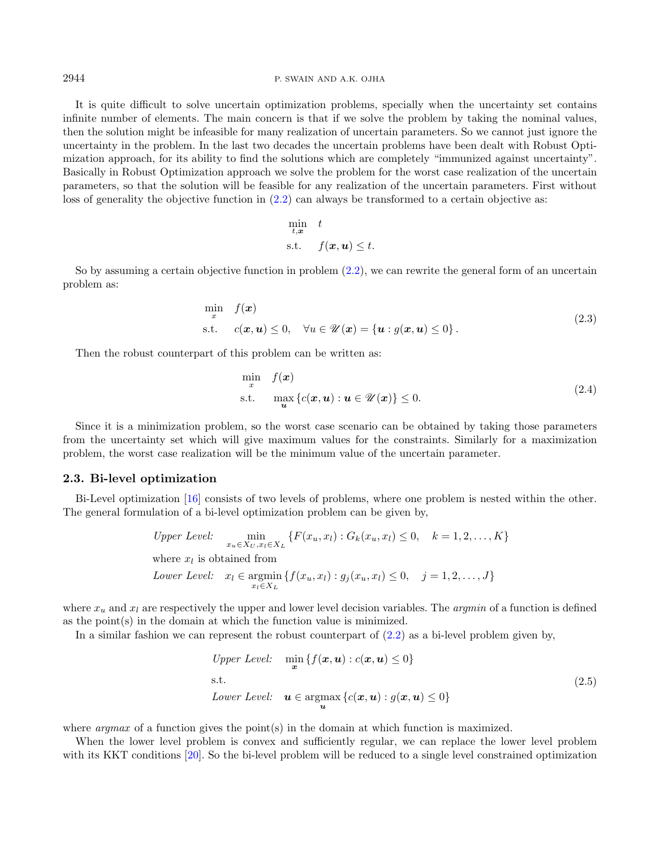2944 P. SWAIN AND A.K. OJHA

It is quite difficult to solve uncertain optimization problems, specially when the uncertainty set contains infinite number of elements. The main concern is that if we solve the problem by taking the nominal values, then the solution might be infeasible for many realization of uncertain parameters. So we cannot just ignore the uncertainty in the problem. In the last two decades the uncertain problems have been dealt with Robust Optimization approach, for its ability to find the solutions which are completely "immunized against uncertainty". Basically in Robust Optimization approach we solve the problem for the worst case realization of the uncertain parameters, so that the solution will be feasible for any realization of the uncertain parameters. First without loss of generality the objective function in  $(2.2)$  can always be transformed to a certain objective as:

$$
\min_{t,\bm{x}} \quad t
$$
\n
$$
\text{s.t.} \quad f(\bm{x}, \bm{u}) \le t.
$$

So by assuming a certain objective function in problem [\(2.2\)](#page-2-0), we can rewrite the general form of an uncertain problem as:

$$
\min_{x} f(x)
$$
\n
$$
\text{s.t.} \quad c(x, u) \leq 0, \quad \forall u \in \mathcal{U}(x) = \{u : g(x, u) \leq 0\}. \tag{2.3}
$$

Then the robust counterpart of this problem can be written as:

$$
\min_{x} f(x)
$$
\n
$$
\text{s.t.} \quad \max_{\mathbf{u}} \left\{ c(\mathbf{x}, \mathbf{u}) : \mathbf{u} \in \mathcal{U}(\mathbf{x}) \right\} \le 0. \tag{2.4}
$$

Since it is a minimization problem, so the worst case scenario can be obtained by taking those parameters from the uncertainty set which will give maximum values for the constraints. Similarly for a maximization problem, the worst case realization will be the minimum value of the uncertain parameter.

#### 2.3. Bi-level optimization

Bi-Level optimization [\[16\]](#page-19-19) consists of two levels of problems, where one problem is nested within the other. The general formulation of a bi-level optimization problem can be given by,

> Upper Level:  $\min_{x_u \in X_U, x_l \in X_L} \{ F(x_u, x_l) : G_k(x_u, x_l) \leq 0, \quad k = 1, 2, ..., K \}$ where  $x_l$  is obtained from Lower Level:  $x_l \in \text{argmin} \{ f(x_u, x_l) : g_j(x_u, x_l) \leq 0, \quad j = 1, 2, ..., J \}$  $x_i \in X_L$

where  $x_u$  and  $x_l$  are respectively the upper and lower level decision variables. The *argmin* of a function is defined as the point(s) in the domain at which the function value is minimized.

In a similar fashion we can represent the robust counterpart of  $(2.2)$  as a bi-level problem given by,

Upper Level: 
$$
\min_{\mathbf{x}} \{f(\mathbf{x}, \mathbf{u}) : c(\mathbf{x}, \mathbf{u}) \le 0\}
$$
  
s.t. 
$$
Lower Level: \quad \mathbf{u} \in \operatorname*{argmax}_{\mathbf{u}} \{c(\mathbf{x}, \mathbf{u}) : g(\mathbf{x}, \mathbf{u}) \le 0\}
$$
 (2.5)

where *argmax* of a function gives the point(s) in the domain at which function is maximized.

When the lower level problem is convex and sufficiently regular, we can replace the lower level problem with its KKT conditions [\[20\]](#page-20-2). So the bi-level problem will be reduced to a single level constrained optimization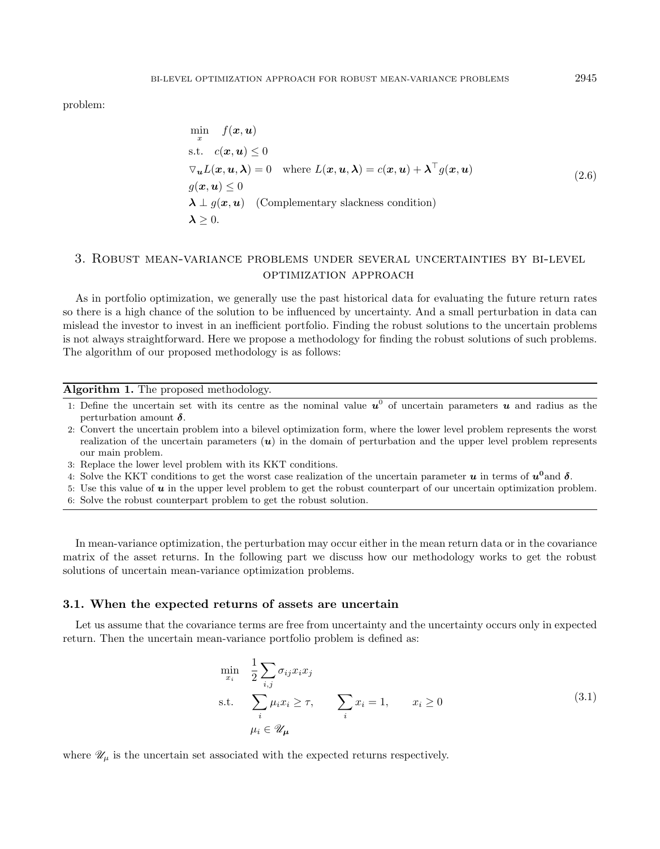problem:

$$
\min_{x} f(x, u)
$$
\n
$$
\text{s.t. } c(x, u) \leq 0
$$
\n
$$
\nabla_{u} L(x, u, \lambda) = 0 \quad \text{where } L(x, u, \lambda) = c(x, u) + \lambda^{\top} g(x, u)
$$
\n
$$
g(x, u) \leq 0
$$
\n
$$
\lambda \perp g(x, u) \quad \text{(Complementary slackness condition)}
$$
\n
$$
\lambda \geq 0.
$$
\n(2.6)

# <span id="page-4-0"></span>3. Robust mean-variance problems under several uncertainties by bi-level OPTIMIZATION APPROACH

As in portfolio optimization, we generally use the past historical data for evaluating the future return rates so there is a high chance of the solution to be influenced by uncertainty. And a small perturbation in data can mislead the investor to invest in an inefficient portfolio. Finding the robust solutions to the uncertain problems is not always straightforward. Here we propose a methodology for finding the robust solutions of such problems. The algorithm of our proposed methodology is as follows:

Algorithm 1. The proposed methodology.

- 1: Define the uncertain set with its centre as the nominal value  $u^0$  of uncertain parameters  $u$  and radius as the perturbation amount  $\delta$ .
- 2: Convert the uncertain problem into a bilevel optimization form, where the lower level problem represents the worst realization of the uncertain parameters  $(u)$  in the domain of perturbation and the upper level problem represents our main problem.
- 3: Replace the lower level problem with its KKT conditions.
- 4: Solve the KKT conditions to get the worst case realization of the uncertain parameter  $u$  in terms of  $u^0$  and  $\delta$ .
- 5: Use this value of  $u$  in the upper level problem to get the robust counterpart of our uncertain optimization problem.
- 6: Solve the robust counterpart problem to get the robust solution.

In mean-variance optimization, the perturbation may occur either in the mean return data or in the covariance matrix of the asset returns. In the following part we discuss how our methodology works to get the robust solutions of uncertain mean-variance optimization problems.

#### 3.1. When the expected returns of assets are uncertain

Let us assume that the covariance terms are free from uncertainty and the uncertainty occurs only in expected return. Then the uncertain mean-variance portfolio problem is defined as:

<span id="page-4-1"></span>
$$
\min_{x_i} \quad \frac{1}{2} \sum_{i,j} \sigma_{ij} x_i x_j
$$
\n
$$
\text{s.t.} \quad \sum_i \mu_i x_i \ge \tau, \qquad \sum_i x_i = 1, \qquad x_i \ge 0
$$
\n
$$
\mu_i \in \mathcal{U}_{\mu} \tag{3.1}
$$

where  $\mathcal{U}_{\mu}$  is the uncertain set associated with the expected returns respectively.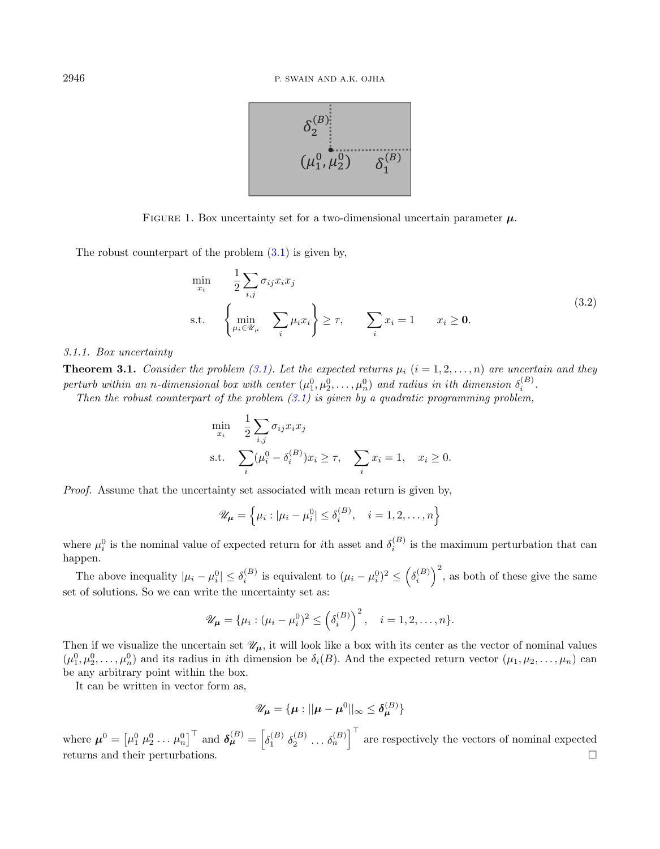<span id="page-5-0"></span>

FIGURE 1. Box uncertainty set for a two-dimensional uncertain parameter  $\mu$ .

The robust counterpart of the problem  $(3.1)$  is given by,

$$
\min_{x_i} \quad \frac{1}{2} \sum_{i,j} \sigma_{ij} x_i x_j
$$
\n
$$
\text{s.t.} \quad \left\{ \min_{\mu_i \in \mathcal{U}_{\mu}} \quad \sum_i \mu_i x_i \right\} \ge \tau, \quad \sum_i x_i = 1 \quad x_i \ge \mathbf{0}. \tag{3.2}
$$

#### 3.1.1. Box uncertainty

**Theorem 3.1.** Consider the problem [\(3.1\)](#page-4-1). Let the expected returns  $\mu_i$  ( $i = 1, 2, ..., n$ ) are uncertain and they perturb within an n-dimensional box with center  $(\mu_1^0, \mu_2^0, \ldots, \mu_n^0)$  and radius in ith dimension  $\delta_i^{(B)}$ .

Then the robust counterpart of the problem  $(3.1)$  is given by a quadratic programming problem,

$$
\min_{x_i} \quad \frac{1}{2} \sum_{i,j} \sigma_{ij} x_i x_j
$$
\n
$$
\text{s.t.} \quad \sum_i (\mu_i^0 - \delta_i^{(B)}) x_i \ge \tau, \quad \sum_i x_i = 1, \quad x_i \ge 0.
$$

Proof. Assume that the uncertainty set associated with mean return is given by,

$$
\mathscr{U}_{\mu} = \left\{ \mu_i : |\mu_i - \mu_i^0| \le \delta_i^{(B)}, \quad i = 1, 2, \dots, n \right\}
$$

where  $\mu_i^0$  is the nominal value of expected return for *i*th asset and  $\delta_i^{(B)}$  is the maximum perturbation that can happen.

The above inequality  $|\mu_i - \mu_i^0| \leq \delta_i^{(B)}$  is equivalent to  $(\mu_i - \mu_i^0)^2 \leq (\delta_i^{(B)})^2$ , as both of these give the same set of solutions. So we can write the uncertainty set as:

$$
\mathscr{U}_{\mu} = {\mu_i : (\mu_i - \mu_i^0)^2 \leq {\left(\delta_i^{(B)}\right)}^2, \quad i = 1, 2, \dots, n}.
$$

Then if we visualize the uncertain set  $\mathscr{U}_{\mu}$ , it will look like a box with its center as the vector of nominal values  $(\mu_1^0, \mu_2^0, \ldots, \mu_n^0)$  and its radius in *i*th dimension be  $\delta_i(B)$ . And the expected return vector  $(\mu_1, \mu_2, \ldots, \mu_n)$  can be any arbitrary point within the box.

It can be written in vector form as,

$$
\mathscr{U}_{\mu} = {\mu : ||\mu - \mu^0||_{\infty} \leq \delta_{\mu}^{(B)}}
$$

where  $\boldsymbol{\mu}^0 = \begin{bmatrix} \mu_1^0 & \mu_2^0 & \cdots & \mu_n^0 \end{bmatrix}^\top$  and  $\boldsymbol{\delta}_{\boldsymbol{\mu}}^{(B)} = \begin{bmatrix} \delta_1^{(B)} & \delta_2^{(B)} & \cdots & \delta_n^{(B)} \end{bmatrix}^\top$  are respectively the vectors of nominal expected returns and their perturbations.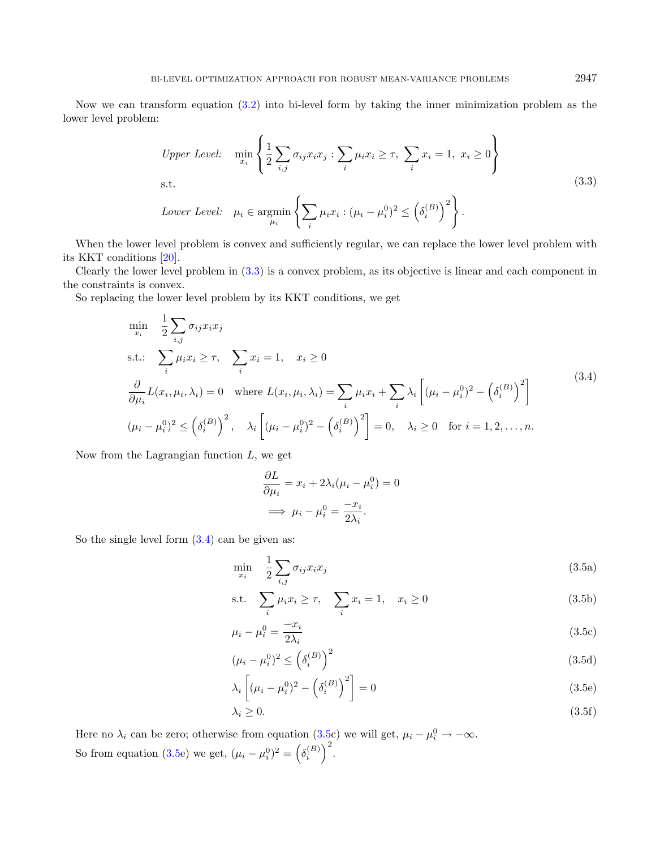Now we can transform equation [\(3.2\)](#page-5-0) into bi-level form by taking the inner minimization problem as the lower level problem:

<span id="page-6-0"></span>*Upper Level:* 
$$
\min_{x_i} \left\{ \frac{1}{2} \sum_{i,j} \sigma_{ij} x_i x_j : \sum_i \mu_i x_i \geq \tau, \sum_i x_i = 1, x_i \geq 0 \right\}
$$
  
s.t. 
$$
Lower Level: \quad \mu_i \in \operatorname{argmin}_{\mu_i} \left\{ \sum_i \mu_i x_i : (\mu_i - \mu_i^0)^2 \leq \left( \delta_i^{(B)} \right)^2 \right\}.
$$
 (3.3)

When the lower level problem is convex and sufficiently regular, we can replace the lower level problem with its KKT conditions [\[20\]](#page-20-2).

Clearly the lower level problem in [\(3.3\)](#page-6-0) is a convex problem, as its objective is linear and each component in the constraints is convex.

So replacing the lower level problem by its KKT conditions, we get

$$
\min_{x_i} \quad \frac{1}{2} \sum_{i,j} \sigma_{ij} x_i x_j
$$
\n
$$
\text{s.t.:} \quad \sum_i \mu_i x_i \ge \tau, \quad \sum_i x_i = 1, \quad x_i \ge 0
$$
\n
$$
\frac{\partial}{\partial \mu_i} L(x_i, \mu_i, \lambda_i) = 0 \quad \text{where } L(x_i, \mu_i, \lambda_i) = \sum_i \mu_i x_i + \sum_i \lambda_i \left[ (\mu_i - \mu_i^0)^2 - \left( \delta_i^{(B)} \right)^2 \right]
$$
\n
$$
(\mu_i - \mu_i^0)^2 \le \left( \delta_i^{(B)} \right)^2, \quad \lambda_i \left[ (\mu_i - \mu_i^0)^2 - \left( \delta_i^{(B)} \right)^2 \right] = 0, \quad \lambda_i \ge 0 \quad \text{for } i = 1, 2, \dots, n.
$$
\n
$$
(3.4)
$$

Now from the Lagrangian function  $L$ , we get

<span id="page-6-2"></span><span id="page-6-1"></span>
$$
\frac{\partial L}{\partial \mu_i} = x_i + 2\lambda_i(\mu_i - \mu_i^0) = 0
$$

$$
\implies \mu_i - \mu_i^0 = \frac{-x_i}{2\lambda_i}.
$$

So the single level form  $(3.4)$  can be given as:

$$
\min_{x_i} \quad \frac{1}{2} \sum_{i,j} \sigma_{ij} x_i x_j \tag{3.5a}
$$

s.t. 
$$
\sum_{i} \mu_i x_i \ge \tau, \quad \sum_{i} x_i = 1, \quad x_i \ge 0
$$
 (3.5b)

$$
\mu_i - \mu_i^0 = \frac{-x_i}{2\lambda_i} \tag{3.5c}
$$

$$
(\mu_i - \mu_i^0)^2 \le \left(\delta_i^{(B)}\right)^2 \tag{3.5d}
$$

$$
\lambda_i \left[ (\mu_i - \mu_i^0)^2 - \left( \delta_i^{(B)} \right)^2 \right] = 0 \tag{3.5e}
$$

$$
\lambda_i \ge 0. \tag{3.5f}
$$

Here no  $\lambda_i$  can be zero; otherwise from equation [\(3.5c](#page-6-2)) we will get,  $\mu_i - \mu_i^0 \rightarrow -\infty$ . So from equation [\(3.5e](#page-6-2)) we get,  $(\mu_i - \mu_i^0)^2 = (\delta_i^{(B)})^2$ .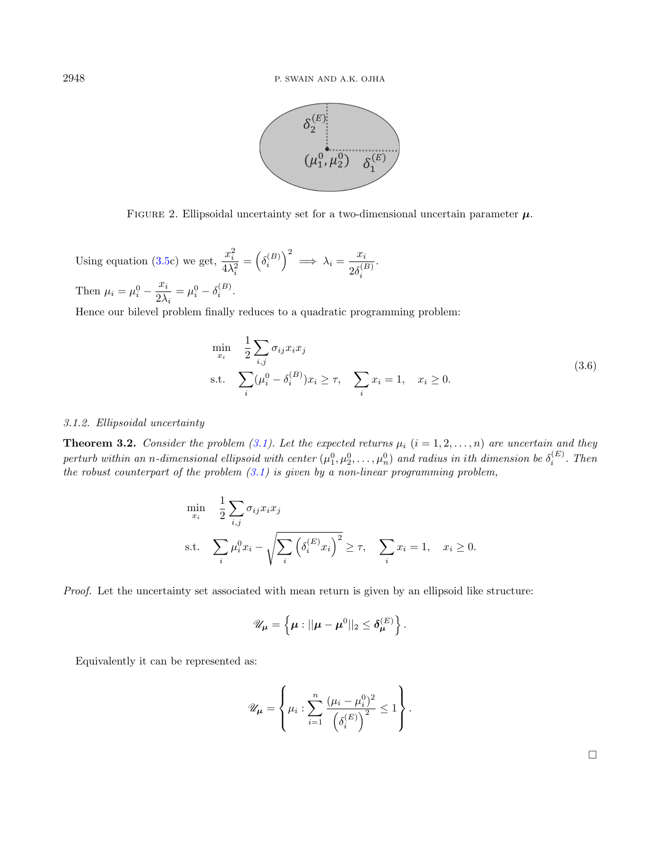

FIGURE 2. Ellipsoidal uncertainty set for a two-dimensional uncertain parameter  $\mu$ .

Using equation [\(3.5c](#page-6-2)) we get,  $\frac{x_i^2}{4\Delta}$  $4\lambda_i^2$  $=\left(\delta_i^{(B)}\right)^2 \implies \lambda_i = \frac{x_i}{\delta s^{(i)}}$  $2\delta_i^{(B)}$ . Then  $\mu_i = \mu_i^0 - \frac{x_i}{2\lambda}$  $\frac{x_i}{2\lambda_i} = \mu_i^0 - \delta_i^{(B)}$ .

Hence our bilevel problem finally reduces to a quadratic programming problem:

$$
\min_{x_i} \quad \frac{1}{2} \sum_{i,j} \sigma_{ij} x_i x_j
$$
\n
$$
\text{s.t.} \quad \sum_i (\mu_i^0 - \delta_i^{(B)}) x_i \ge \tau, \quad \sum_i x_i = 1, \quad x_i \ge 0. \tag{3.6}
$$

#### 3.1.2. Ellipsoidal uncertainty

**Theorem 3.2.** Consider the problem [\(3.1\)](#page-4-1). Let the expected returns  $\mu_i$  ( $i = 1, 2, ..., n$ ) are uncertain and they perturb within an n-dimensional ellipsoid with center  $(\mu_1^0, \mu_2^0, \ldots, \mu_n^0)$  and radius in ith dimension be  $\delta_i^{(E)}$ . Then the robust counterpart of the problem  $(3.1)$  is given by a non-linear programming problem,

$$
\min_{x_i} \quad \frac{1}{2} \sum_{i,j} \sigma_{ij} x_i x_j
$$
\n
$$
\text{s.t.} \quad \sum_i \mu_i^0 x_i - \sqrt{\sum_i \left( \delta_i^{(E)} x_i \right)^2} \ge \tau, \quad \sum_i x_i = 1, \quad x_i \ge 0.
$$

Proof. Let the uncertainty set associated with mean return is given by an ellipsoid like structure:

$$
\mathscr{U}_{\mu} = \left\{ \mu : ||\mu - \mu^0||_2 \leq \delta_{\mu}^{(E)} \right\}.
$$

Equivalently it can be represented as:

$$
\mathscr{U}_{\mu} = \left\{ \mu_i : \sum_{i=1}^n \frac{(\mu_i - \mu_i^0)^2}{\left(\delta_i^{(E)}\right)^2} \le 1 \right\}.
$$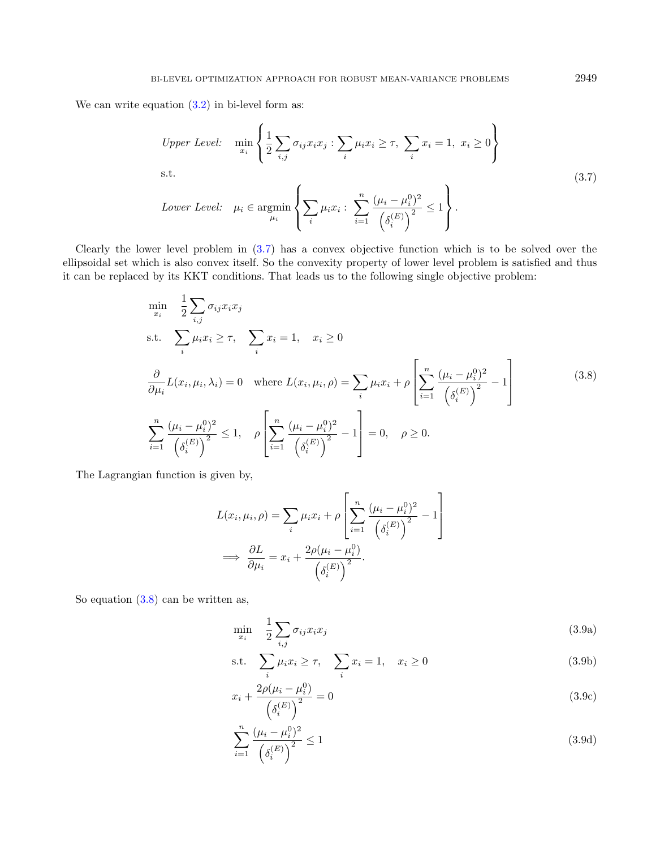We can write equation  $(3.2)$  in bi-level form as:

<span id="page-8-1"></span><span id="page-8-0"></span>*Upper Level:* 
$$
\min_{x_i} \left\{ \frac{1}{2} \sum_{i,j} \sigma_{ij} x_i x_j : \sum_i \mu_i x_i \geq \tau, \sum_i x_i = 1, x_i \geq 0 \right\}
$$
  
s.t. 
$$
Lower Level: \quad \mu_i \in \operatorname{argmin}_{\mu_i} \left\{ \sum_i \mu_i x_i : \sum_{i=1}^n \frac{(\mu_i - \mu_i^0)^2}{(\delta_i^{(E)})^2} \leq 1 \right\}.
$$
 (3.7)

Clearly the lower level problem in [\(3.7\)](#page-8-0) has a convex objective function which is to be solved over the ellipsoidal set which is also convex itself. So the convexity property of lower level problem is satisfied and thus it can be replaced by its KKT conditions. That leads us to the following single objective problem:

$$
\min_{x_i} \quad \frac{1}{2} \sum_{i,j} \sigma_{ij} x_i x_j
$$
\n
$$
\text{s.t.} \quad \sum_i \mu_i x_i \ge \tau, \quad \sum_i x_i = 1, \quad x_i \ge 0
$$
\n
$$
\frac{\partial}{\partial \mu_i} L(x_i, \mu_i, \lambda_i) = 0 \quad \text{where } L(x_i, \mu_i, \rho) = \sum_i \mu_i x_i + \rho \left[ \sum_{i=1}^n \frac{(\mu_i - \mu_i^0)^2}{(\delta_i^{(E)})^2} - 1 \right]
$$
\n
$$
\sum_{i=1}^n \frac{(\mu_i - \mu_i^0)^2}{(\delta_i^{(E)})^2} \le 1, \quad \rho \left[ \sum_{i=1}^n \frac{(\mu_i - \mu_i^0)^2}{(\delta_i^{(E)})^2} - 1 \right] = 0, \quad \rho \ge 0.
$$
\n
$$
(3.8)
$$

The Lagrangian function is given by,

<span id="page-8-2"></span>
$$
L(x_i, \mu_i, \rho) = \sum_i \mu_i x_i + \rho \left[ \sum_{i=1}^n \frac{(\mu_i - \mu_i^0)^2}{\left(\delta_i^{(E)}\right)^2} - 1 \right]
$$
  

$$
\implies \frac{\partial L}{\partial \mu_i} = x_i + \frac{2\rho(\mu_i - \mu_i^0)}{\left(\delta_i^{(E)}\right)^2}.
$$

So equation [\(3.8\)](#page-8-1) can be written as,

$$
\min_{x_i} \quad \frac{1}{2} \sum_{i,j} \sigma_{ij} x_i x_j \tag{3.9a}
$$

$$
\text{s.t.} \quad \sum_{i} \mu_i x_i \ge \tau, \quad \sum_{i} x_i = 1, \quad x_i \ge 0 \tag{3.9b}
$$

$$
x_i + \frac{2\rho(\mu_i - \mu_i^0)}{(\delta_i^{(E)})^2} = 0
$$
\n(3.9c)

$$
\sum_{i=1}^{n} \frac{(\mu_i - \mu_i^0)^2}{(\delta_i^{(E)})^2} \le 1
$$
\n(3.9d)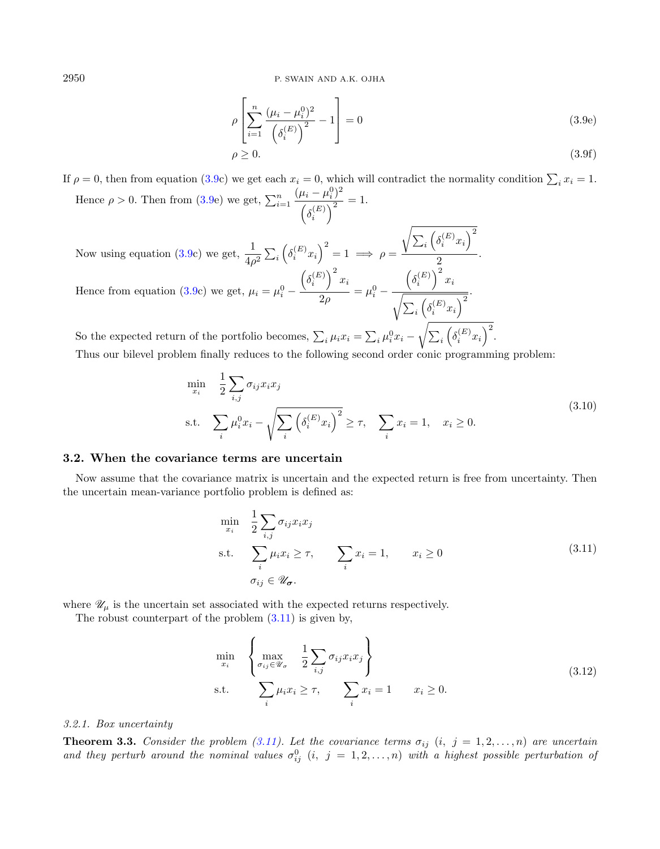2950 P. SWAIN AND A.K. OJHA

$$
\rho \left[ \sum_{i=1}^{n} \frac{(\mu_i - \mu_i^0)^2}{\left( \delta_i^{(E)} \right)^2} - 1 \right] = 0 \tag{3.9e}
$$

$$
\rho \ge 0. \tag{3.9f}
$$

If  $\rho = 0$ , then from equation [\(3.9c](#page-8-2)) we get each  $x_i = 0$ , which will contradict the normality condition  $\sum_i x_i = 1$ . Hence  $\rho > 0$ . Then from [\(3.9e](#page-8-2)) we get,  $\sum_{i=1}^{n}$  $(\mu_i - \mu_i^0)^2$  $\frac{(\kappa_i-\kappa_i)^2}{\left(\delta_i^{(E)}\right)^2}=1.$  $\sqrt{ }$ 

Now using equation [\(3.9c](#page-8-2)) we get,  $\frac{1}{4\rho^2} \sum_i \left( \delta_i^{(E)} x_i \right)^2 = 1 \implies \rho =$  $\sum_i \left(\delta_i^{(E)} x_i\right)^2$  $\frac{1}{2}$ . Hence from equation [\(3.9c](#page-8-2)) we get,  $\mu_i = \mu_i^0$  –  $\left(\delta_i^{(E)}\right)^2 x_i$  $\frac{7}{2\rho} = \mu_i^0 \left(\delta_i^{(E)}\right)^2 x_i$  $^{\prime}$  $\sum_i \left(\delta_i^{(E)}x_i\right)^2$ .

So the expected return of the portfolio becomes,  $\sum_i \mu_i x_i = \sum_i \mu_i^0 x_i$  $\sqrt{2}$  $\sum_i \left(\delta_i^{(E)}x_i\right)^2$ . Thus our bilevel problem finally reduces to the following second order conic programming problem:

$$
\min_{x_i} \quad \frac{1}{2} \sum_{i,j} \sigma_{ij} x_i x_j
$$
\n
$$
\text{s.t.} \quad \sum_i \mu_i^0 x_i - \sqrt{\sum_i \left( \delta_i^{(E)} x_i \right)^2} \ge \tau, \quad \sum_i x_i = 1, \quad x_i \ge 0. \tag{3.10}
$$

#### 3.2. When the covariance terms are uncertain

Now assume that the covariance matrix is uncertain and the expected return is free from uncertainty. Then the uncertain mean-variance portfolio problem is defined as:

<span id="page-9-1"></span><span id="page-9-0"></span>
$$
\min_{x_i} \quad \frac{1}{2} \sum_{i,j} \sigma_{ij} x_i x_j
$$
\n
$$
\text{s.t.} \quad \sum_i \mu_i x_i \ge \tau, \qquad \sum_i x_i = 1, \qquad x_i \ge 0
$$
\n
$$
\sigma_{ij} \in \mathscr{U}_{\sigma}.\tag{3.11}
$$

where  $\mathscr{U}_\mu$  is the uncertain set associated with the expected returns respectively.

The robust counterpart of the problem  $(3.11)$  is given by,

$$
\min_{x_i} \left\{ \max_{\sigma_{ij} \in \mathcal{U}_{\sigma}} \frac{1}{2} \sum_{i,j} \sigma_{ij} x_i x_j \right\}
$$
\n
$$
\text{s.t.} \quad \sum_i \mu_i x_i \ge \tau, \quad \sum_i x_i = 1 \quad x_i \ge 0. \tag{3.12}
$$

#### 3.2.1. Box uncertainty

**Theorem 3.3.** Consider the problem [\(3.11\)](#page-9-0). Let the covariance terms  $\sigma_{ij}$  (i,  $j = 1, 2, ..., n$ ) are uncertain and they perturb around the nominal values  $\sigma_{ij}^0$  (i,  $j = 1, 2, ..., n$ ) with a highest possible perturbation of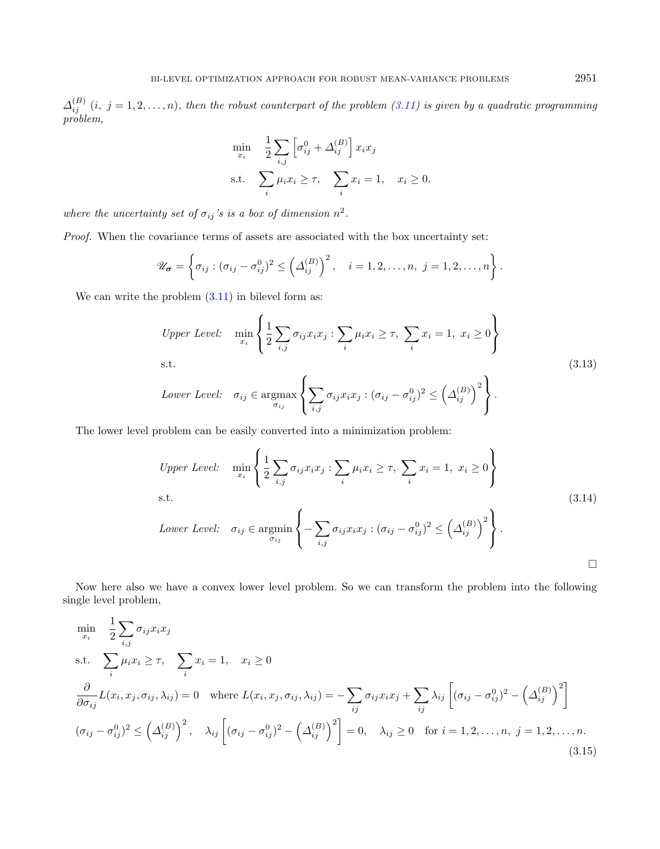$\Delta_{ij}^{(B)}$   $(i, j = 1, 2, \ldots, n)$ , then the robust counterpart of the problem [\(3.11\)](#page-9-0) is given by a quadratic programming problem,

$$
\min_{x_i} \quad \frac{1}{2} \sum_{i,j} \left[ \sigma_{ij}^0 + \Delta_{ij}^{(B)} \right] x_i x_j
$$
\n
$$
\text{s.t.} \quad \sum_i \mu_i x_i \ge \tau, \quad \sum_i x_i = 1, \quad x_i \ge 0.
$$

where the uncertainty set of  $\sigma_{ij}$ 's is a box of dimension  $n^2$ .

Proof. When the covariance terms of assets are associated with the box uncertainty set:

$$
\mathscr{U}_{\boldsymbol{\sigma}} = \left\{ \sigma_{ij} : (\sigma_{ij} - \sigma_{ij}^0)^2 \leq \left(\Delta_{ij}^{(B)}\right)^2, \quad i = 1, 2, \ldots, n, \ j = 1, 2, \ldots, n \right\}.
$$

We can write the problem  $(3.11)$  in bilevel form as:

*Upper Level:* 
$$
\min_{x_i} \left\{ \frac{1}{2} \sum_{i,j} \sigma_{ij} x_i x_j : \sum_i \mu_i x_i \ge \tau, \sum_i x_i = 1, x_i \ge 0 \right\}
$$
  
s.t. 
$$
Lower Level: \quad \sigma_{ij} \in \operatorname{argmax}_{\sigma_{ij}} \left\{ \sum_{i,j} \sigma_{ij} x_i x_j : (\sigma_{ij} - \sigma_{ij}^0)^2 \le \left(\Delta_{ij}^{(B)}\right)^2 \right\}.
$$
 (3.13)

The lower level problem can be easily converted into a minimization problem:

<span id="page-10-0"></span>*Upper Level:* 
$$
\min_{x_i} \left\{ \frac{1}{2} \sum_{i,j} \sigma_{ij} x_i x_j : \sum_i \mu_i x_i \ge \tau, \sum_i x_i = 1, x_i \ge 0 \right\}
$$
  
s.t. 
$$
Lower Level: \quad \sigma_{ij} \in \operatorname{argmin}_{\sigma_{ij}} \left\{ - \sum_{i,j} \sigma_{ij} x_i x_j : (\sigma_{ij} - \sigma_{ij}^0)^2 \le \left(\Delta_{ij}^{(B)}\right)^2 \right\}.
$$
 (3.14)

Now here also we have a convex lower level problem. So we can transform the problem into the following single level problem,

$$
\min_{x_i} \quad \frac{1}{2} \sum_{i,j} \sigma_{ij} x_i x_j
$$
\n
$$
\text{s.t.} \quad \sum_i \mu_i x_i \ge \tau, \quad \sum_i x_i = 1, \quad x_i \ge 0
$$
\n
$$
\frac{\partial}{\partial \sigma_{ij}} L(x_i, x_j, \sigma_{ij}, \lambda_{ij}) = 0 \quad \text{where } L(x_i, x_j, \sigma_{ij}, \lambda_{ij}) = -\sum_{ij} \sigma_{ij} x_i x_j + \sum_{ij} \lambda_{ij} \left[ (\sigma_{ij} - \sigma_{ij}^0)^2 - \left( \Delta_{ij}^{(B)} \right)^2 \right]
$$
\n
$$
(\sigma_{ij} - \sigma_{ij}^0)^2 \le \left( \Delta_{ij}^{(B)} \right)^2, \quad \lambda_{ij} \left[ (\sigma_{ij} - \sigma_{ij}^0)^2 - \left( \Delta_{ij}^{(B)} \right)^2 \right] = 0, \quad \lambda_{ij} \ge 0 \quad \text{for } i = 1, 2, \dots, n, \ j = 1, 2, \dots, n. \tag{3.15}
$$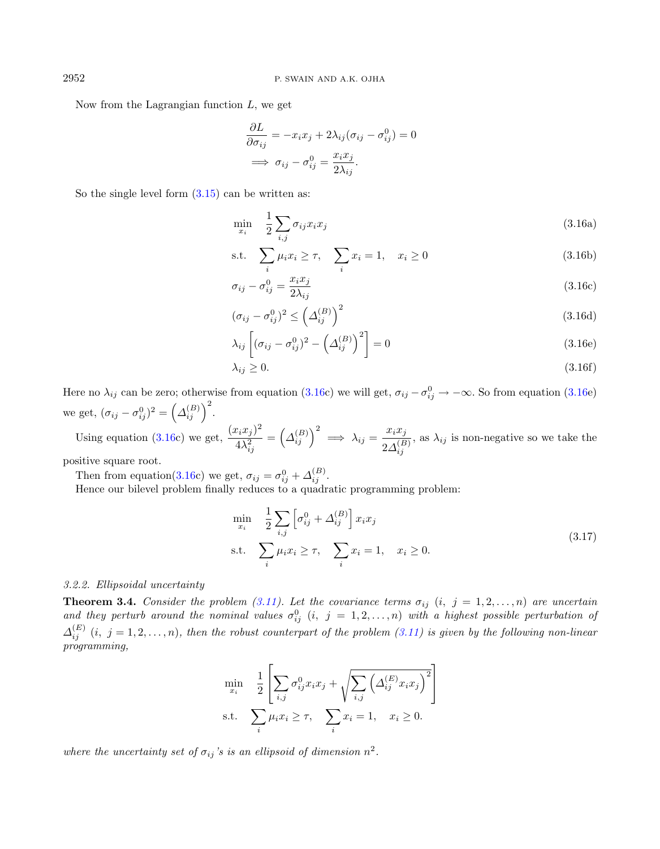Now from the Lagrangian function  $L$ , we get

<span id="page-11-0"></span>
$$
\frac{\partial L}{\partial \sigma_{ij}} = -x_i x_j + 2\lambda_{ij} (\sigma_{ij} - \sigma_{ij}^0) = 0
$$

$$
\implies \sigma_{ij} - \sigma_{ij}^0 = \frac{x_i x_j}{2\lambda_{ij}}.
$$

So the single level form  $(3.15)$  can be written as:

$$
\min_{x_i} \quad \frac{1}{2} \sum_{i,j} \sigma_{ij} x_i x_j \tag{3.16a}
$$

s.t. 
$$
\sum_{i} \mu_i x_i \ge \tau, \quad \sum_{i} x_i = 1, \quad x_i \ge 0
$$
 (3.16b)

$$
\sigma_{ij} - \sigma_{ij}^0 = \frac{x_i x_j}{2\lambda_{ij}} \tag{3.16c}
$$

$$
(\sigma_{ij} - \sigma_{ij}^0)^2 \le \left(\Delta_{ij}^{(B)}\right)^2 \tag{3.16d}
$$

$$
\lambda_{ij} \left[ (\sigma_{ij} - \sigma_{ij}^0)^2 - \left( \Delta_{ij}^{(B)} \right)^2 \right] = 0 \tag{3.16e}
$$

$$
\lambda_{ij} \ge 0. \tag{3.16f}
$$

Here no  $\lambda_{ij}$  can be zero; otherwise from equation [\(3.16c](#page-11-0)) we will get,  $\sigma_{ij} - \sigma_{ij}^0 \to -\infty$ . So from equation [\(3.16e](#page-11-0)) we get,  $({\sigma}_{ij} - {\sigma}_{ij}^0)^2 = ({\Delta}_{ij}^{(B)})^2$ .

Using equation [\(3.16c](#page-11-0)) we get,  $\frac{(x_i x_j)^2}{4\lambda^2}$  $4\lambda_{ij}^2$  $=\left(\Delta_{ij}^{(B)}\right)^2 \implies \lambda_{ij} = \frac{x_i x_j}{2 \Delta_{ij}^{(B)}}$  $2\Delta_{ij}^{(B)}$ , as  $\lambda_{ij}$  is non-negative so we take the

positive square root.

Then from equation[\(3.16c](#page-11-0)) we get,  $\sigma_{ij} = \sigma_{ij}^0 + \Delta_{ij}^{(B)}$ .

Hence our bilevel problem finally reduces to a quadratic programming problem:

$$
\min_{x_i} \quad \frac{1}{2} \sum_{i,j} \left[ \sigma_{ij}^0 + \Delta_{ij}^{(B)} \right] x_i x_j
$$
\n
$$
\text{s.t.} \quad \sum_i \mu_i x_i \ge \tau, \quad \sum_i x_i = 1, \quad x_i \ge 0. \tag{3.17}
$$

#### 3.2.2. Ellipsoidal uncertainty

**Theorem 3.4.** Consider the problem [\(3.11\)](#page-9-0). Let the covariance terms  $\sigma_{ij}$  (i,  $j = 1, 2, \ldots, n$ ) are uncertain and they perturb around the nominal values  $\sigma_{ij}^0$  (i,  $j = 1, 2, ..., n$ ) with a highest possible perturbation of  $\Delta_{ij}^{(E)}$   $(i, j = 1, 2, \ldots, n)$ , then the robust counterpart of the problem [\(3.11\)](#page-9-0) is given by the following non-linear programming,

$$
\min_{x_i} \quad \frac{1}{2} \left[ \sum_{i,j} \sigma_{ij}^0 x_i x_j + \sqrt{\sum_{i,j} \left( \Delta_{ij}^{(E)} x_i x_j \right)^2} \right]
$$
\n
$$
\text{s.t.} \quad \sum_i \mu_i x_i \ge \tau, \quad \sum_i x_i = 1, \quad x_i \ge 0.
$$

where the uncertainty set of  $\sigma_{ij}$ 's is an ellipsoid of dimension  $n^2$ .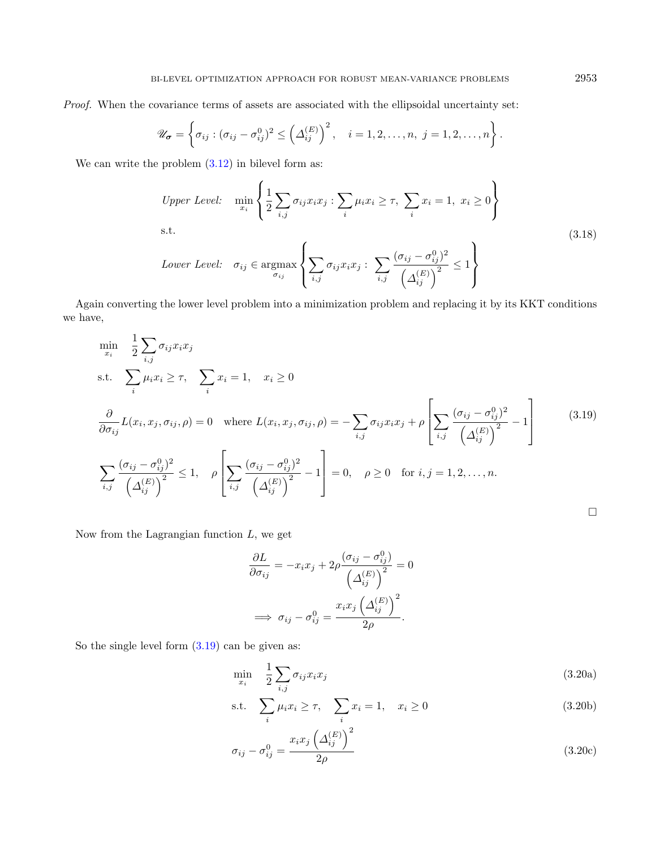Proof. When the covariance terms of assets are associated with the ellipsoidal uncertainty set:

$$
\mathscr{U}_{\boldsymbol{\sigma}} = \left\{ \sigma_{ij} : (\sigma_{ij} - \sigma_{ij}^0)^2 \leq \left(\Delta_{ij}^{(E)}\right)^2, \quad i = 1, 2, \ldots, n, \ j = 1, 2, \ldots, n \right\}.
$$

We can write the problem  $(3.12)$  in bilevel form as:

<span id="page-12-0"></span>*Upper Level:* 
$$
\min_{x_i} \left\{ \frac{1}{2} \sum_{i,j} \sigma_{ij} x_i x_j : \sum_i \mu_i x_i \ge \tau, \sum_i x_i = 1, x_i \ge 0 \right\}
$$
 s.t. (3.18)  
*Lower Level:* 
$$
\sigma_{ij} \in \operatorname{argmax}_{\sigma_{ij}} \left\{ \sum_{i,j} \sigma_{ij} x_i x_j : \sum_{i,j} \frac{(\sigma_{ij} - \sigma_{ij}^0)^2}{(\Delta_{ij}^{(E)})^2} \le 1 \right\}
$$

Again converting the lower level problem into a minimization problem and replacing it by its KKT conditions we have,

$$
\min_{x_i} \quad \frac{1}{2} \sum_{i,j} \sigma_{ij} x_i x_j
$$
\n
$$
\text{s.t.} \quad \sum_i \mu_i x_i \ge \tau, \quad \sum_i x_i = 1, \quad x_i \ge 0
$$
\n
$$
\frac{\partial}{\partial \sigma_{ij}} L(x_i, x_j, \sigma_{ij}, \rho) = 0 \quad \text{where } L(x_i, x_j, \sigma_{ij}, \rho) = -\sum_{i,j} \sigma_{ij} x_i x_j + \rho \left[ \sum_{i,j} \frac{(\sigma_{ij} - \sigma_{ij}^0)^2}{(\Delta_{ij}^{(E)})^2} - 1 \right] \tag{3.19}
$$
\n
$$
\sum_{i,j} \frac{(\sigma_{ij} - \sigma_{ij}^0)^2}{(\Delta_{ij}^{(E)})^2} \le 1, \quad \rho \left[ \sum_{i,j} \frac{(\sigma_{ij} - \sigma_{ij}^0)^2}{(\Delta_{ij}^{(E)})^2} - 1 \right] = 0, \quad \rho \ge 0 \quad \text{for } i, j = 1, 2, \dots, n.
$$

Now from the Lagrangian function  $L$ , we get

<span id="page-12-1"></span>
$$
\frac{\partial L}{\partial \sigma_{ij}} = -x_i x_j + 2\rho \frac{(\sigma_{ij} - \sigma_{ij}^0)}{\left(\Delta_{ij}^{(E)}\right)^2} = 0
$$

$$
\implies \sigma_{ij} - \sigma_{ij}^0 = \frac{x_i x_j \left(\Delta_{ij}^{(E)}\right)^2}{2\rho}.
$$

So the single level form  $(3.19)$  can be given as:

$$
\min_{x_i} \quad \frac{1}{2} \sum_{i,j} \sigma_{ij} x_i x_j \tag{3.20a}
$$

s.t. 
$$
\sum_{i} \mu_i x_i \ge \tau, \quad \sum_{i} x_i = 1, \quad x_i \ge 0
$$
 (3.20b)

$$
\sigma_{ij} - \sigma_{ij}^0 = \frac{x_i x_j \left(\Delta_{ij}^{(E)}\right)^2}{2\rho} \tag{3.20c}
$$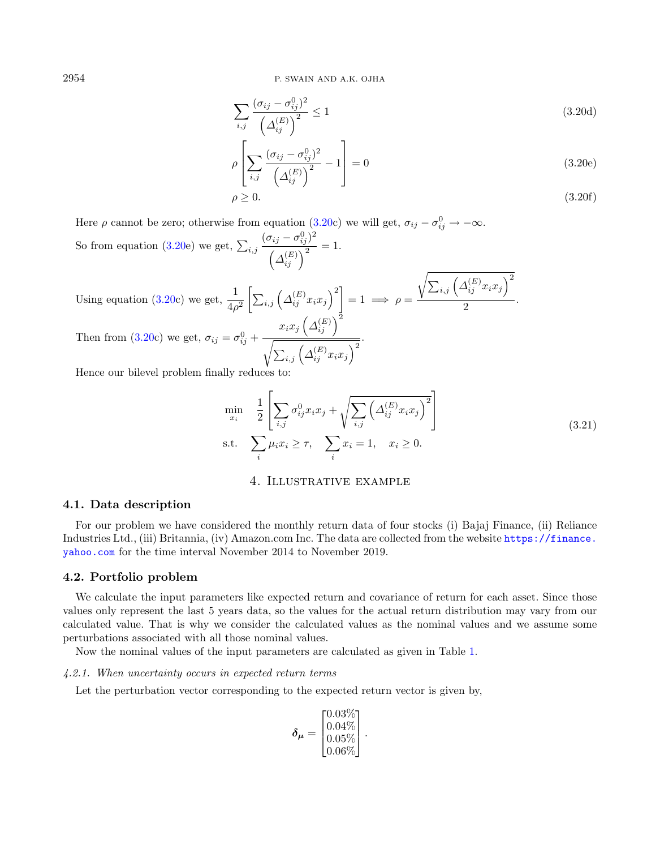$$
\sum_{i,j} \frac{(\sigma_{ij} - \sigma_{ij}^0)^2}{\left(\Delta_{ij}^{(E)}\right)^2} \le 1\tag{3.20d}
$$

$$
\rho \left[ \sum_{i,j} \frac{(\sigma_{ij} - \sigma_{ij}^0)^2}{\left(\Delta_{ij}^{(E)}\right)^2} - 1 \right] = 0 \tag{3.20e}
$$

$$
\rho \ge 0. \tag{3.20f}
$$

Here  $\rho$  cannot be zero; otherwise from equation [\(3.20c](#page-12-1)) we will get,  $\sigma_{ij} - \sigma_{ij}^0 \rightarrow -\infty$ . So from equation [\(3.20e](#page-12-1)) we get,  $\sum_{i,j}$  $(\sigma_{ij}-\sigma^0_{ij})^2$  $\frac{f(y)}{\left(\Delta_{ij}^{(E)}\right)^2} = 1.$ 

Using equation [\(3.20c](#page-12-1)) we get,  $\frac{1}{4\rho^2} \left[ \sum_{i,j} \left( \Delta_{ij}^{(E)} x_i x_j \right)^2 \right] = 1 \implies \rho =$  $\sqrt{ }$  $\sum_{i,j}\left( \varDelta_{ij}^{\left( E\right) }x_{i}x_{j}\right) ^{2}$  $\frac{1}{2}$ . Then from [\(3.20c](#page-12-1)) we get,  $\sigma_{ij} = \sigma_{ij}^0 +$  $x_ix_j\left(\mathit{\Delta}_{ij}^{(E)}\right)^2$  $\sqrt{ }$  $\sum_{i,j}\left( \varDelta_{ij}^{\left( E\right) }x_{i}x_{j}\right) ^{2}$ .

Hence our bilevel problem finally reduces to:

$$
\min_{x_i} \quad \frac{1}{2} \left[ \sum_{i,j} \sigma_{ij}^0 x_i x_j + \sqrt{\sum_{i,j} \left( \Delta_{ij}^{(E)} x_i x_j \right)^2} \right]
$$
\n
$$
\text{s.t.} \quad \sum_i \mu_i x_i \ge \tau, \quad \sum_i x_i = 1, \quad x_i \ge 0. \tag{3.21}
$$

# 4. Illustrative example

#### <span id="page-13-0"></span>4.1. Data description

For our problem we have considered the monthly return data of four stocks (i) Bajaj Finance, (ii) Reliance Industries Ltd., (iii) Britannia, (iv) Amazon.com Inc. The data are collected from the website [https://finance.](https://finance.yahoo.com) [yahoo.com](https://finance.yahoo.com) for the time interval November 2014 to November 2019.

#### 4.2. Portfolio problem

We calculate the input parameters like expected return and covariance of return for each asset. Since those values only represent the last 5 years data, so the values for the actual return distribution may vary from our calculated value. That is why we consider the calculated values as the nominal values and we assume some perturbations associated with all those nominal values.

Now the nominal values of the input parameters are calculated as given in Table [1.](#page-14-0)

#### 4.2.1. When uncertainty occurs in expected return terms

Let the perturbation vector corresponding to the expected return vector is given by,

$$
\delta_{\mu} = \begin{bmatrix} 0.03\% \\ 0.04\% \\ 0.05\% \\ 0.06\% \end{bmatrix}.
$$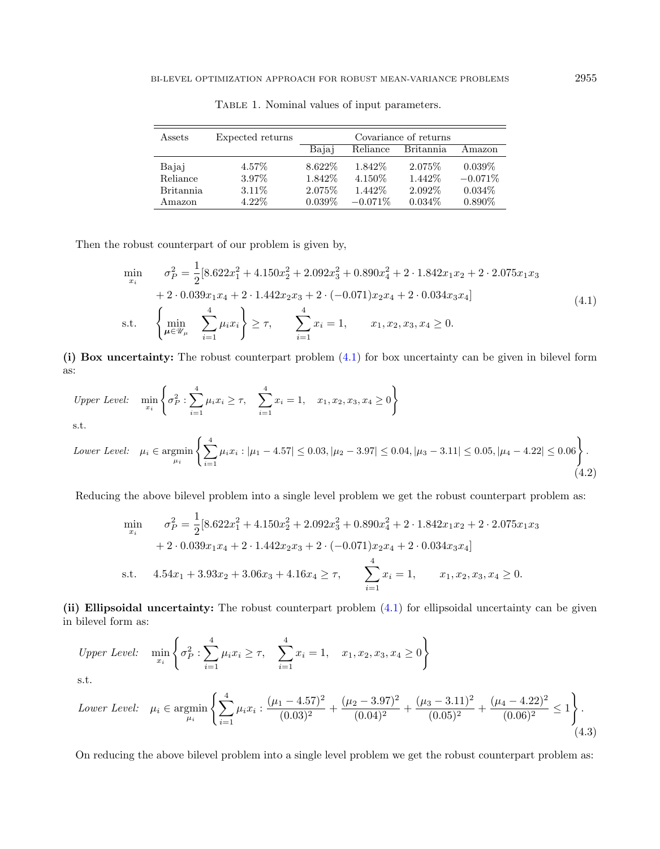<span id="page-14-0"></span>

| Assets           | Expected returns | Covariance of returns |            |                  |           |
|------------------|------------------|-----------------------|------------|------------------|-----------|
|                  |                  | Bajaj                 | Reliance   | <b>Britannia</b> | Amazon    |
| Bajaj            | 4.57\%           | 8.622\%               | 1.842\%    | 2.075\%          | $0.039\%$ |
| Reliance         | 3.97%            | 1.842\%               | 4.150\%    | 1.442\%          | $-0.071%$ |
| <b>Britannia</b> | $3.11\%$         | 2.075\%               | 1.442\%    | 2.092\%          | $0.034\%$ |
| Amazon           | $4.22\%$         | $0.039\%$             | $-0.071\%$ | $0.034\%$        | $0.890\%$ |

<span id="page-14-1"></span>Table 1. Nominal values of input parameters.

Then the robust counterpart of our problem is given by,

 $i=1$ 

$$
\min_{x_i} \quad \sigma_P^2 = \frac{1}{2} [8.622x_1^2 + 4.150x_2^2 + 2.092x_3^2 + 0.890x_4^2 + 2 \cdot 1.842x_1x_2 + 2 \cdot 2.075x_1x_3 \n+ 2 \cdot 0.039x_1x_4 + 2 \cdot 1.442x_2x_3 + 2 \cdot (-0.071)x_2x_4 + 2 \cdot 0.034x_3x_4] \ns.t. \quad \left\{ \min_{\mu \in \mathcal{U}_\mu} \sum_{i=1}^4 \mu_i x_i \right\} \ge \tau, \quad \sum_{i=1}^4 x_i = 1, \quad x_1, x_2, x_3, x_4 \ge 0.
$$
\n(4.1)

(i) Box uncertainty: The robust counterpart problem [\(4.1\)](#page-14-1) for box uncertainty can be given in bilevel form as:

\n*Upper Level:*\n
$$
\min_{x_i} \left\{ \sigma_P^2 : \sum_{i=1}^4 \mu_i x_i \geq \tau, \quad \sum_{i=1}^4 x_i = 1, \quad x_1, x_2, x_3, x_4 \geq 0 \right\}
$$
\n

\n\n*Lower Level:*\n
$$
\mu_i \in \operatorname{argmin}_{\mu_i} \left\{ \sum_{i=1}^4 \mu_i x_i : |\mu_1 - 4.57| \leq 0.03, |\mu_2 - 3.97| \leq 0.04, |\mu_3 - 3.11| \leq 0.05, |\mu_4 - 4.22| \leq 0.06 \right\}.
$$
\n

Reducing the above bilevel problem into a single level problem we get the robust counterpart problem as:

$$
\min_{x_i} \quad \sigma_P^2 = \frac{1}{2} [8.622x_1^2 + 4.150x_2^2 + 2.092x_3^2 + 0.890x_4^2 + 2 \cdot 1.842x_1x_2 + 2 \cdot 2.075x_1x_3
$$
  
+ 2 \cdot 0.039x\_1x\_4 + 2 \cdot 1.442x\_2x\_3 + 2 \cdot (-0.071)x\_2x\_4 + 2 \cdot 0.034x\_3x\_4]  
s.t. \quad 4.54x\_1 + 3.93x\_2 + 3.06x\_3 + 4.16x\_4 \ge \tau, \quad \sum\_{i=1}^4 x\_i = 1, \quad x\_1, x\_2, x\_3, x\_4 \ge 0.

(ii) Ellipsoidal uncertainty: The robust counterpart problem  $(4.1)$  for ellipsoidal uncertainty can be given in bilevel form as:

*Upper Level:* 
$$
\min_{x_i} \left\{ \sigma_P^2 : \sum_{i=1}^4 \mu_i x_i \ge \tau, \quad \sum_{i=1}^4 x_i = 1, \quad x_1, x_2, x_3, x_4 \ge 0 \right\}
$$

s.t.

Lower Level: 
$$
\mu_i \in \operatorname{argmin}_{\mu_i} \left\{ \sum_{i=1}^4 \mu_i x_i : \frac{(\mu_1 - 4.57)^2}{(0.03)^2} + \frac{(\mu_2 - 3.97)^2}{(0.04)^2} + \frac{(\mu_3 - 3.11)^2}{(0.05)^2} + \frac{(\mu_4 - 4.22)^2}{(0.06)^2} \le 1 \right\}.
$$
\n
$$
(4.3)
$$

On reducing the above bilevel problem into a single level problem we get the robust counterpart problem as:

 $(4.2)$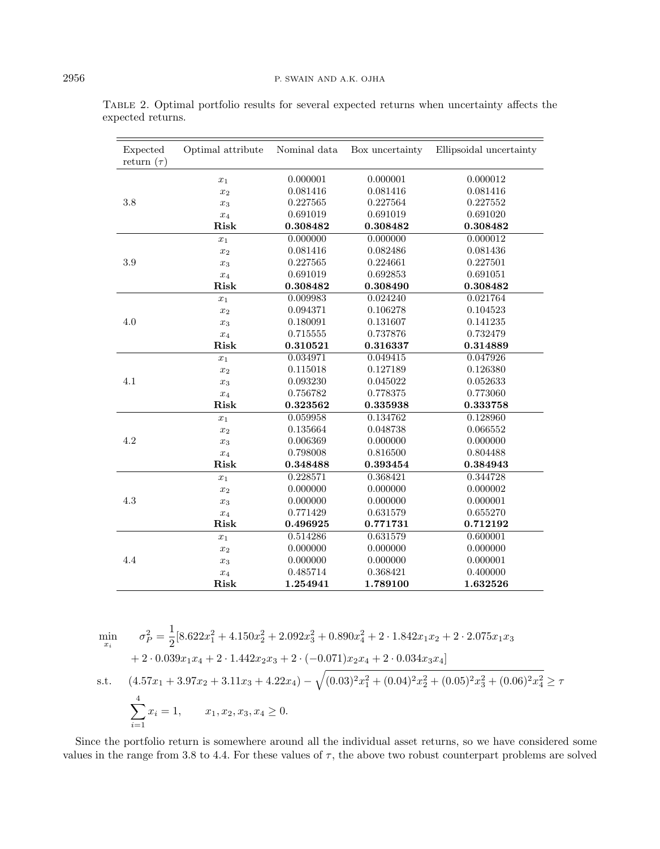| Expected<br>return $(\tau)$ | Optimal attribute  | Nominal data | Box uncertainty | Ellipsoidal uncertainty |
|-----------------------------|--------------------|--------------|-----------------|-------------------------|
|                             | $x_1$              | 0.000001     | 0.000001        | 0.000012                |
|                             | $x_2$              | 0.081416     | 0.081416        | 0.081416                |
| 3.8                         | $x_3$              | 0.227565     | 0.227564        | 0.227552                |
|                             | $x_4$              | 0.691019     | 0.691019        | 0.691020                |
|                             | Risk               | 0.308482     | 0.308482        | 0.308482                |
|                             | $x_1$              | 0.000000     | 0.000000        | 0.000012                |
| 3.9                         | $x_2$              | 0.081416     | 0.082486        | 0.081436                |
|                             | $x_3$              | 0.227565     | 0.224661        | 0.227501                |
|                             | $x_4$              | 0.691019     | 0.692853        | 0.691051                |
|                             | Risk               | 0.308482     | 0.308490        | 0.308482                |
| 4.0                         | $\boldsymbol{x}_1$ | 0.009983     | 0.024240        | 0.021764                |
|                             | $x_2$              | 0.094371     | 0.106278        | 0.104523                |
|                             | $x_3$              | 0.180091     | 0.131607        | 0.141235                |
|                             | $x_4$              | 0.715555     | 0.737876        | 0.732479                |
|                             | Risk               | 0.310521     | 0.316337        | 0.314889                |
|                             | $x_1$              | 0.034971     | 0.049415        | 0.047926                |
|                             | $x_2$              | 0.115018     | 0.127189        | 0.126380                |
| 4.1                         | $x_3$              | 0.093230     | 0.045022        | 0.052633                |
|                             | $\boldsymbol{x}_4$ | 0.756782     | 0.778375        | 0.773060                |
|                             | Risk               | 0.323562     | 0.335938        | 0.333758                |
| 4.2                         | $x_1$              | 0.059958     | 0.134762        | 0.128960                |
|                             | $x_2$              | 0.135664     | 0.048738        | 0.066552                |
|                             | $x_3$              | 0.006369     | 0.000000        | 0.000000                |
|                             | $x_4$              | 0.798008     | 0.816500        | 0.804488                |
|                             | Risk               | 0.348488     | 0.393454        | 0.384943                |
| 4.3                         | $\boldsymbol{x}_1$ | 0.228571     | 0.368421        | 0.344728                |
|                             | $x_2$              | 0.000000     | 0.000000        | 0.000002                |
|                             | $x_3$              | 0.000000     | 0.000000        | 0.000001                |
|                             | $x_4$              | 0.771429     | 0.631579        | 0.655270                |
|                             | Risk               | 0.496925     | 0.771731        | 0.712192                |
|                             | $x_1$              | 0.514286     | 0.631579        | 0.600001                |
| 4.4                         | $\boldsymbol{x}_2$ | 0.000000     | 0.000000        | 0.000000                |
|                             | $x_3$              | 0.000000     | 0.000000        | 0.000001                |
|                             | $x_4$              | 0.485714     | 0.368421        | 0.400000                |
|                             | Risk               | 1.254941     | 1.789100        | 1.632526                |

<span id="page-15-0"></span>Table 2. Optimal portfolio results for several expected returns when uncertainty affects the expected returns.

$$
\min_{x_i} \quad \sigma_P^2 = \frac{1}{2} [8.622x_1^2 + 4.150x_2^2 + 2.092x_3^2 + 0.890x_4^2 + 2 \cdot 1.842x_1x_2 + 2 \cdot 2.075x_1x_3 \n+ 2 \cdot 0.039x_1x_4 + 2 \cdot 1.442x_2x_3 + 2 \cdot (-0.071)x_2x_4 + 2 \cdot 0.034x_3x_4] \ns.t. \quad (4.57x_1 + 3.97x_2 + 3.11x_3 + 4.22x_4) - \sqrt{(0.03)^2x_1^2 + (0.04)^2x_2^2 + (0.05)^2x_3^2 + (0.06)^2x_4^2} \ge \tau \n\sum_{i=1}^4 x_i = 1, \quad x_1, x_2, x_3, x_4 \ge 0.
$$

Since the portfolio return is somewhere around all the individual asset returns, so we have considered some values in the range from 3.8 to 4.4. For these values of  $\tau$ , the above two robust counterpart problems are solved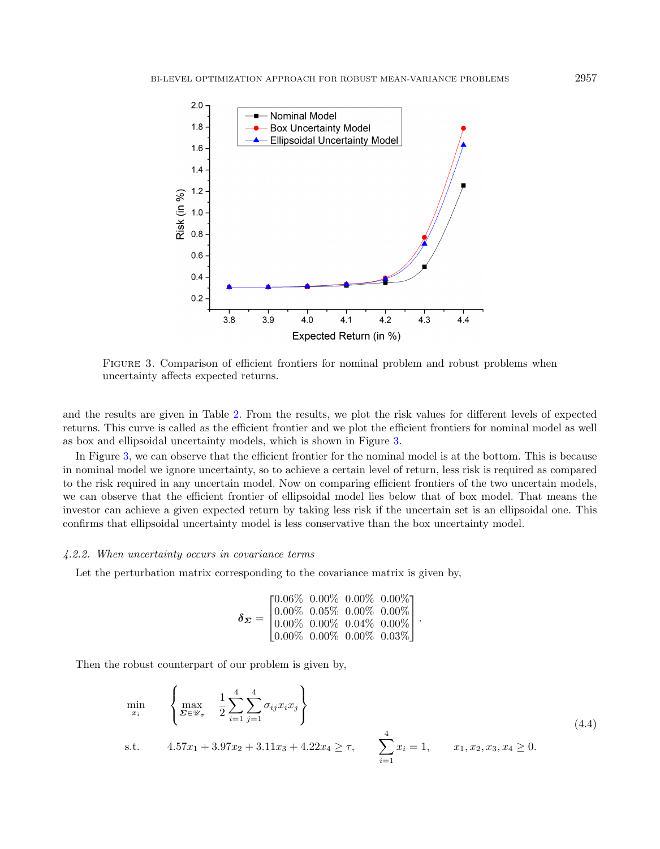

<span id="page-16-0"></span>Figure 3. Comparison of efficient frontiers for nominal problem and robust problems when uncertainty affects expected returns.

and the results are given in Table [2.](#page-15-0) From the results, we plot the risk values for different levels of expected returns. This curve is called as the efficient frontier and we plot the efficient frontiers for nominal model as well as box and ellipsoidal uncertainty models, which is shown in Figure [3.](#page-16-0)

In Figure [3,](#page-16-0) we can observe that the efficient frontier for the nominal model is at the bottom. This is because in nominal model we ignore uncertainty, so to achieve a certain level of return, less risk is required as compared to the risk required in any uncertain model. Now on comparing efficient frontiers of the two uncertain models, we can observe that the efficient frontier of ellipsoidal model lies below that of box model. That means the investor can achieve a given expected return by taking less risk if the uncertain set is an ellipsoidal one. This confirms that ellipsoidal uncertainty model is less conservative than the box uncertainty model.

#### 4.2.2. When uncertainty occurs in covariance terms

Let the perturbation matrix corresponding to the covariance matrix is given by,

<span id="page-16-1"></span>
$$
\pmb{\delta_E} = \begin{bmatrix} 0.06\% & 0.00\% & 0.00\% & 0.00\% \\ 0.00\% & 0.05\% & 0.00\% & 0.00\% \\ 0.00\% & 0.00\% & 0.04\% & 0.00\% \\ 0.00\% & 0.00\% & 0.00\% & 0.03\% \end{bmatrix}.
$$

Then the robust counterpart of our problem is given by,

$$
\min_{x_i} \left\{ \max_{\Sigma \in \mathcal{U}_{\sigma}} \left\{ \frac{1}{2} \sum_{i=1}^4 \sum_{j=1}^4 \sigma_{ij} x_i x_j \right\} \right\}
$$
\n
$$
\text{s.t.} \quad 4.57x_1 + 3.97x_2 + 3.11x_3 + 4.22x_4 \ge \tau, \quad \sum_{i=1}^4 x_i = 1, \quad x_1, x_2, x_3, x_4 \ge 0. \tag{4.4}
$$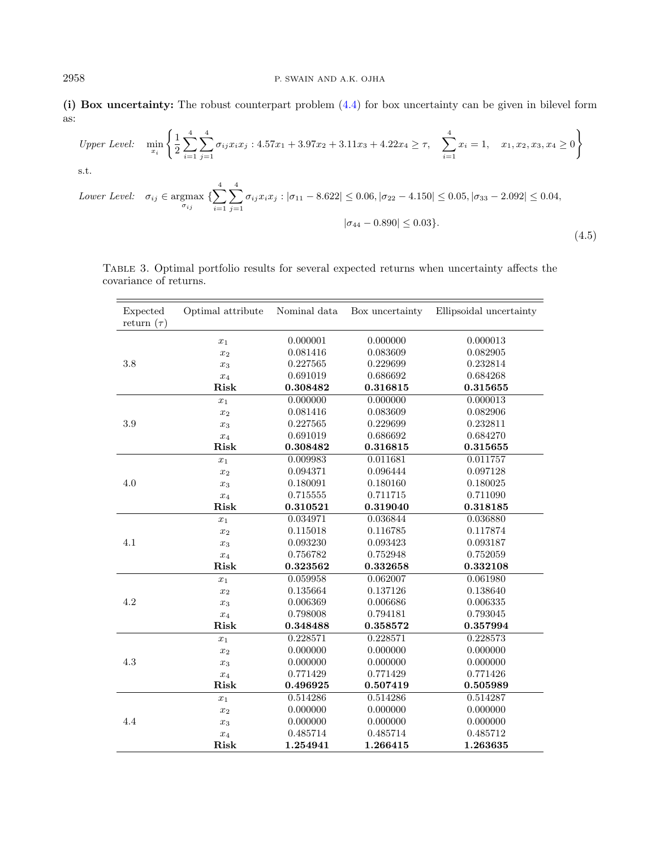(i) Box uncertainty: The robust counterpart problem [\(4.4\)](#page-16-1) for box uncertainty can be given in bilevel form as:

*Upper Level:* 
$$
\min_{x_i} \left\{ \frac{1}{2} \sum_{i=1}^{4} \sum_{j=1}^{4} \sigma_{ij} x_i x_j : 4.57x_1 + 3.97x_2 + 3.11x_3 + 4.22x_4 \ge \tau, \sum_{i=1}^{4} x_i = 1, x_1, x_2, x_3, x_4 \ge 0 \right\}
$$
  
s.t. 
$$
Lower Level: \quad \sigma_{ij} \in \operatorname{argmax}_{\sigma_{ij}} \left\{ \sum_{i=1}^{4} \sum_{j=1}^{4} \sigma_{ij} x_i x_j : |\sigma_{11} - 8.622| \le 0.06, |\sigma_{22} - 4.150| \le 0.05, |\sigma_{33} - 2.092| \le 0.04, |\sigma_{44} - 0.890| \le 0.03 \right\}.
$$
(4.5)

<span id="page-17-0"></span>Table 3. Optimal portfolio results for several expected returns when uncertainty affects the covariance of returns.

| Expected<br>return $(\tau)$ | Optimal attribute  | Nominal data | Box uncertainty | Ellipsoidal uncertainty |
|-----------------------------|--------------------|--------------|-----------------|-------------------------|
| 3.8                         | $x_1$              | 0.000001     | 0.000000        | 0.000013                |
|                             | $x_2$              | 0.081416     | 0.083609        | 0.082905                |
|                             | $x_3$              | 0.227565     | 0.229699        | 0.232814                |
|                             | $x_4$              | 0.691019     | 0.686692        | 0.684268                |
|                             | Risk               | 0.308482     | 0.316815        | 0.315655                |
| 3.9                         | $x_1$              | 0.000000     | 0.000000        | 0.000013                |
|                             | $x_2$              | 0.081416     | 0.083609        | 0.082906                |
|                             | $\boldsymbol{x}_3$ | 0.227565     | 0.229699        | 0.232811                |
|                             | $x_4$              | 0.691019     | 0.686692        | 0.684270                |
|                             | Risk               | 0.308482     | 0.316815        | 0.315655                |
| 4.0                         | $x_1$              | 0.009983     | 0.011681        | 0.011757                |
|                             | $x_2$              | 0.094371     | 0.096444        | 0.097128                |
|                             | $x_3$              | 0.180091     | 0.180160        | 0.180025                |
|                             | $x_4$              | 0.715555     | 0.711715        | 0.711090                |
|                             | Risk               | 0.310521     | 0.319040        | 0.318185                |
| 4.1                         | $x_1$              | 0.034971     | 0.036844        | 0.036880                |
|                             | $x_2$              | 0.115018     | 0.116785        | 0.117874                |
|                             | $x_3$              | 0.093230     | 0.093423        | 0.093187                |
|                             | $x_4$              | 0.756782     | 0.752948        | 0.752059                |
|                             | Risk               | 0.323562     | 0.332658        | 0.332108                |
| 4.2                         | $\boldsymbol{x}_1$ | 0.059958     | 0.062007        | 0.061980                |
|                             | $x_2$              | 0.135664     | 0.137126        | 0.138640                |
|                             | $x_3$              | 0.006369     | 0.006686        | 0.006335                |
|                             | $x_4$              | 0.798008     | 0.794181        | 0.793045                |
|                             | Risk               | 0.348488     | 0.358572        | 0.357994                |
| 4.3                         | $x_1$              | 0.228571     | 0.228571        | 0.228573                |
|                             | $x_2$              | 0.000000     | 0.000000        | 0.000000                |
|                             | $\boldsymbol{x}_3$ | 0.000000     | 0.000000        | 0.000000                |
|                             | $x_4$              | 0.771429     | 0.771429        | 0.771426                |
|                             | Risk               | 0.496925     | 0.507419        | 0.505989                |
| 4.4                         | $x_1$              | 0.514286     | 0.514286        | 0.514287                |
|                             | $\boldsymbol{x}_2$ | 0.000000     | 0.000000        | 0.000000                |
|                             | $\boldsymbol{x}_3$ | 0.000000     | 0.000000        | 0.000000                |
|                             | $x_4$              | 0.485714     | 0.485714        | 0.485712                |
|                             | Risk               | 1.254941     | 1.266415        | 1.263635                |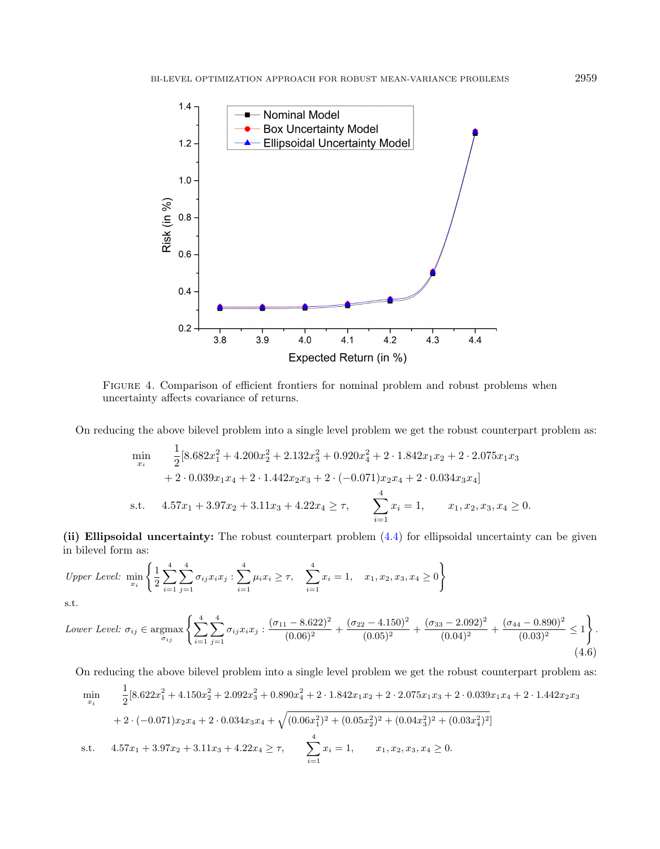

<span id="page-18-0"></span>Figure 4. Comparison of efficient frontiers for nominal problem and robust problems when uncertainty affects covariance of returns.

On reducing the above bilevel problem into a single level problem we get the robust counterpart problem as:

$$
\min_{x_i} \quad \frac{1}{2} [8.682x_1^2 + 4.200x_2^2 + 2.132x_3^2 + 0.920x_4^2 + 2 \cdot 1.842x_1x_2 + 2 \cdot 2.075x_1x_3 \n+ 2 \cdot 0.039x_1x_4 + 2 \cdot 1.442x_2x_3 + 2 \cdot (-0.071)x_2x_4 + 2 \cdot 0.034x_3x_4]
$$
\ns.t.  $4.57x_1 + 3.97x_2 + 3.11x_3 + 4.22x_4 \ge \tau$ , 
$$
\sum_{i=1}^4 x_i = 1, \quad x_1, x_2, x_3, x_4 \ge 0.
$$

(ii) Ellipsoidal uncertainty: The robust counterpart problem [\(4.4\)](#page-16-1) for ellipsoidal uncertainty can be given in bilevel form as:

Upper Level: 
$$
\min_{x_i} \left\{ \frac{1}{2} \sum_{i=1}^4 \sum_{j=1}^4 \sigma_{ij} x_i x_j : \sum_{i=1}^4 \mu_i x_i \ge \tau, \quad \sum_{i=1}^4 x_i = 1, \quad x_1, x_2, x_3, x_4 \ge 0 \right\}
$$

s.t.

Lower Level: 
$$
\sigma_{ij} \in \underset{\sigma_{ij}}{\text{argmax}} \left\{ \sum_{i=1}^{4} \sum_{j=1}^{4} \sigma_{ij} x_i x_j : \frac{(\sigma_{11} - 8.622)^2}{(0.06)^2} + \frac{(\sigma_{22} - 4.150)^2}{(0.05)^2} + \frac{(\sigma_{33} - 2.092)^2}{(0.04)^2} + \frac{(\sigma_{44} - 0.890)^2}{(0.03)^2} \le 1 \right\}.
$$
 (4.6)

On reducing the above bilevel problem into a single level problem we get the robust counterpart problem as:

$$
\min_{x_i} \quad \frac{1}{2} [8.622x_1^2 + 4.150x_2^2 + 2.092x_3^2 + 0.890x_4^2 + 2 \cdot 1.842x_1x_2 + 2 \cdot 2.075x_1x_3 + 2 \cdot 0.039x_1x_4 + 2 \cdot 1.442x_2x_3 + 2 \cdot (-0.071)x_2x_4 + 2 \cdot 0.034x_3x_4 + \sqrt{(0.06x_1^2)^2 + (0.05x_2^2)^2 + (0.04x_3^2)^2 + (0.03x_4^2)^2}]
$$
\ns.t. 
$$
4.57x_1 + 3.97x_2 + 3.11x_3 + 4.22x_4 \ge \tau, \qquad \sum_{i=1}^4 x_i = 1, \qquad x_1, x_2, x_3, x_4 \ge 0.
$$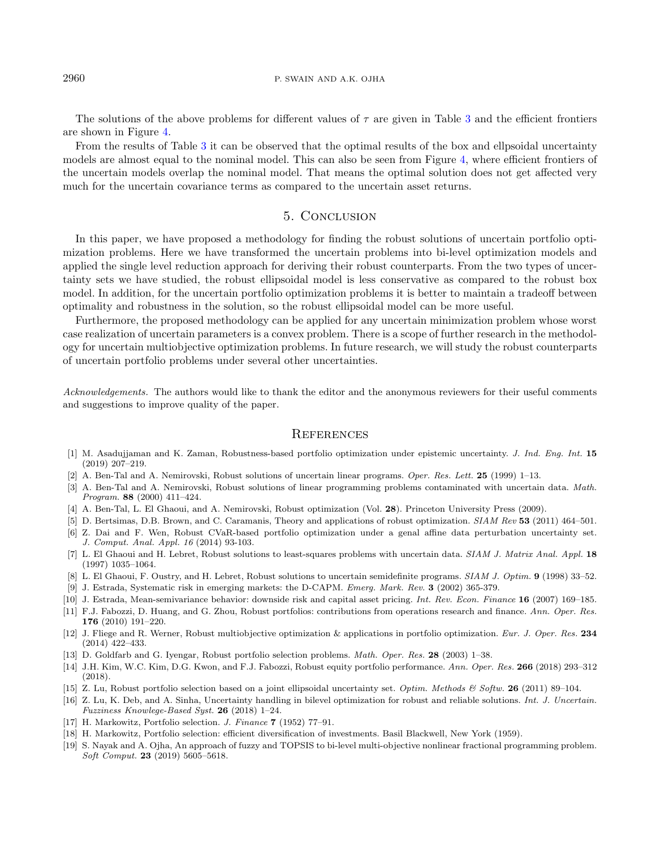#### 2960 P. SWAIN AND A.K. OJHA

The solutions of the above problems for different values of  $\tau$  are given in Table [3](#page-17-0) and the efficient frontiers are shown in Figure [4.](#page-18-0)

From the results of Table [3](#page-17-0) it can be observed that the optimal results of the box and ellpsoidal uncertainty models are almost equal to the nominal model. This can also be seen from Figure [4,](#page-18-0) where efficient frontiers of the uncertain models overlap the nominal model. That means the optimal solution does not get affected very much for the uncertain covariance terms as compared to the uncertain asset returns.

# 5. Conclusion

<span id="page-19-18"></span>In this paper, we have proposed a methodology for finding the robust solutions of uncertain portfolio optimization problems. Here we have transformed the uncertain problems into bi-level optimization models and applied the single level reduction approach for deriving their robust counterparts. From the two types of uncertainty sets we have studied, the robust ellipsoidal model is less conservative as compared to the robust box model. In addition, for the uncertain portfolio optimization problems it is better to maintain a tradeoff between optimality and robustness in the solution, so the robust ellipsoidal model can be more useful.

<span id="page-19-16"></span><span id="page-19-9"></span><span id="page-19-6"></span><span id="page-19-4"></span>Furthermore, the proposed methodology can be applied for any uncertain minimization problem whose worst case realization of uncertain parameters is a convex problem. There is a scope of further research in the methodology for uncertain multiobjective optimization problems. In future research, we will study the robust counterparts of uncertain portfolio problems under several other uncertainties.

<span id="page-19-13"></span><span id="page-19-8"></span><span id="page-19-7"></span><span id="page-19-5"></span>Acknowledgements. The authors would like to thank the editor and the anonymous reviewers for their useful comments and suggestions to improve quality of the paper.

#### **REFERENCES**

- <span id="page-19-11"></span><span id="page-19-3"></span><span id="page-19-2"></span>[1] M. Asadujjaman and K. Zaman, Robustness-based portfolio optimization under epistemic uncertainty. J. Ind. Eng. Int. 15 (2019) 207–219.
- <span id="page-19-14"></span>[2] A. Ben-Tal and A. Nemirovski, Robust solutions of uncertain linear programs. Oper. Res. Lett. 25 (1999) 1–13.
- <span id="page-19-10"></span>[3] A. Ben-Tal and A. Nemirovski, Robust solutions of linear programming problems contaminated with uncertain data. Math. Program. 88 (2000) 411–424.
- <span id="page-19-15"></span>[4] A. Ben-Tal, L. El Ghaoui, and A. Nemirovski, Robust optimization (Vol. 28). Princeton University Press (2009).
- [5] D. Bertsimas, D.B. Brown, and C. Caramanis, Theory and applications of robust optimization. SIAM Rev 53 (2011) 464–501.
- <span id="page-19-19"></span><span id="page-19-12"></span>[6] Z. Dai and F. Wen, Robust CVaR-based portfolio optimization under a genal affine data perturbation uncertainty set. J. Comput. Anal. Appl. 16 (2014) 93-103.
- <span id="page-19-0"></span>[7] L. El Ghaoui and H. Lebret, Robust solutions to least-squares problems with uncertain data. SIAM J. Matrix Anal. Appl. 18 (1997) 1035–1064.
- <span id="page-19-1"></span>[8] L. El Ghaoui, F. Oustry, and H. Lebret, Robust solutions to uncertain semidefinite programs. SIAM J. Optim. 9 (1998) 33–52.
- <span id="page-19-17"></span>[9] J. Estrada, Systematic risk in emerging markets: the D-CAPM. Emerg. Mark. Rev. 3 (2002) 365-379.
- [10] J. Estrada, Mean-semivariance behavior: downside risk and capital asset pricing. Int. Rev. Econ. Finance 16 (2007) 169–185.
- [11] F.J. Fabozzi, D. Huang, and G. Zhou, Robust portfolios: contributions from operations research and finance. Ann. Oper. Res. 176 (2010) 191–220.
- [12] J. Fliege and R. Werner, Robust multiobjective optimization & applications in portfolio optimization. Eur. J. Oper. Res. 234 (2014) 422–433.
- [13] D. Goldfarb and G. Iyengar, Robust portfolio selection problems. Math. Oper. Res. 28 (2003) 1–38.
- [14] J.H. Kim, W.C. Kim, D.G. Kwon, and F.J. Fabozzi, Robust equity portfolio performance. Ann. Oper. Res. 266 (2018) 293–312  $(2018)$
- [15] Z. Lu, Robust portfolio selection based on a joint ellipsoidal uncertainty set. Optim. Methods & Softw. 26 (2011) 89–104.
- [16] Z. Lu, K. Deb, and A. Sinha, Uncertainty handling in bilevel optimization for robust and reliable solutions. Int. J. Uncertain. Fuzziness Knowlege-Based Syst. 26 (2018) 1–24.
- [17] H. Markowitz, Portfolio selection. J. Finance 7 (1952) 77–91.
- [18] H. Markowitz, Portfolio selection: efficient diversification of investments. Basil Blackwell, New York (1959).
- [19] S. Nayak and A. Ojha, An approach of fuzzy and TOPSIS to bi-level multi-objective nonlinear fractional programming problem. Soft Comput. 23 (2019) 5605–5618.